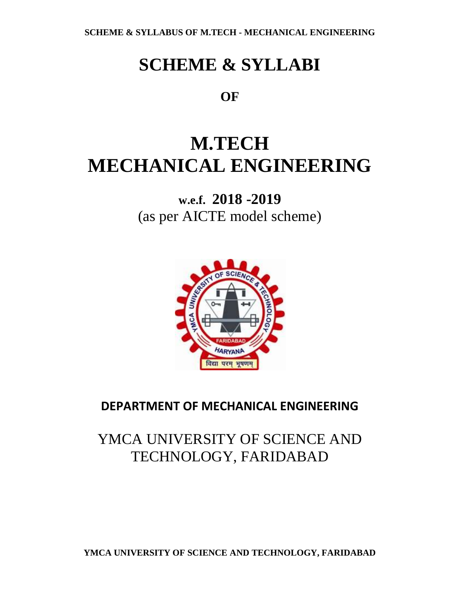# **SCHEME & SYLLABI**

**OF** 

# **M.TECH MECHANICAL ENGINEERING**

**w.e.f. 2018 -2019** (as per AICTE model scheme)



## **DEPARTMENT OF MECHANICAL ENGINEERING**

## YMCA UNIVERSITY OF SCIENCE AND TECHNOLOGY, FARIDABAD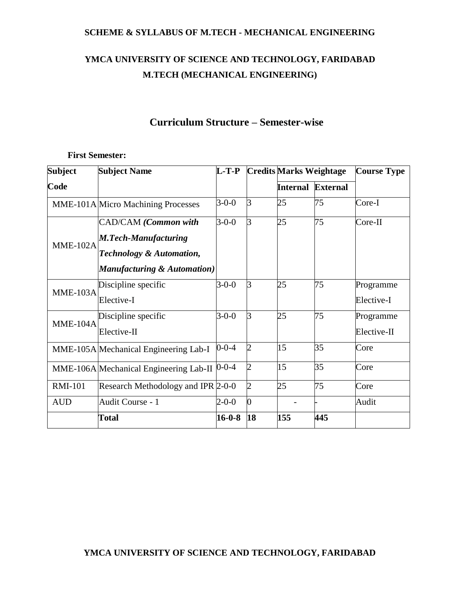## **YMCA UNIVERSITY OF SCIENCE AND TECHNOLOGY, FARIDABAD M.TECH (MECHANICAL ENGINEERING)**

## **Curriculum Structure – Semester-wise**

#### **First Semester:**

| <b>Subject</b>  | <b>Subject Name</b>                    | $L-T-P$      |                | <b>Credits Marks Weightage</b> |     | <b>Course Type</b> |
|-----------------|----------------------------------------|--------------|----------------|--------------------------------|-----|--------------------|
| Code            |                                        |              |                | Internal External              |     |                    |
|                 | MME-101A Micro Machining Processes     | $3-0-0$      | 3              | 25                             | 75  | Core-I             |
|                 | CAD/CAM (Common with                   | $3 - 0 - 0$  | 3              | 25                             | 75  | Core-II            |
| <b>MME-102A</b> | <b>M.Tech-Manufacturing</b>            |              |                |                                |     |                    |
|                 | <b>Technology &amp; Automation,</b>    |              |                |                                |     |                    |
|                 | Manufacturing & Automation)            |              |                |                                |     |                    |
| <b>MME-103A</b> | Discipline specific                    | $3-0-0$      | 3              | 25                             | 75  | Programme          |
|                 | Elective-I                             |              |                |                                |     | Elective-I         |
| MME-104A        | Discipline specific                    | $3-0-0$      | 3              | 25                             | 75  | Programme          |
|                 | Elective-II                            |              |                |                                |     | Elective-II        |
|                 | MME-105A Mechanical Engineering Lab-I  | $0 - 0 - 4$  | 2              | 15                             | 35  | Core               |
|                 | MME-106A Mechanical Engineering Lab-II | $0 - 0 - 4$  | 2              | 15                             | 35  | Core               |
| <b>RMI-101</b>  | Research Methodology and IPR 2-0-0     |              | $\overline{2}$ | 25                             | 75  | Core               |
| <b>AUD</b>      | Audit Course - 1                       | $2 - 0 - 0$  | 0              |                                |     | Audit              |
|                 | <b>Total</b>                           | $16 - 0 - 8$ | 18             | 155                            | 445 |                    |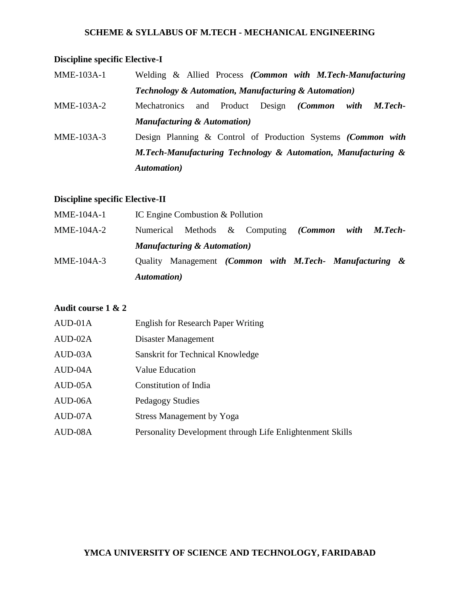## **Discipline specific Elective-I**

| <b>MME-103A-1</b> | Welding & Allied Process (Common with M.Tech-Manufacturing                      |  |  |  |
|-------------------|---------------------------------------------------------------------------------|--|--|--|
|                   | <b>Technology &amp; Automation, Manufacturing &amp; Automation</b> )            |  |  |  |
| MME-103A-2        | and Product<br>Design ( <i>Common</i><br>with<br><b>Mechatronics</b><br>M.Tech- |  |  |  |
|                   | <b>Manufacturing &amp; Automation</b> )                                         |  |  |  |
| MME-103A-3        | Design Planning & Control of Production Systems (Common with                    |  |  |  |
|                   | M.Tech-Manufacturing Technology & Automation, Manufacturing &                   |  |  |  |
|                   | <b>Automation</b> )                                                             |  |  |  |

## **Discipline specific Elective-II**

|              | <b>Automation</b> )                     |                                  |  |  |                                                            |      |                |
|--------------|-----------------------------------------|----------------------------------|--|--|------------------------------------------------------------|------|----------------|
| $MME-104A-3$ | <b>Ouality</b>                          |                                  |  |  | Management <i>(Common with M.Tech- Manufacturing &amp;</i> |      |                |
|              | <b>Manufacturing &amp; Automation</b> ) |                                  |  |  |                                                            |      |                |
| $MME-104A-2$ | Numerical Methods & Computing (Common   |                                  |  |  |                                                            | with | <b>M.Tech-</b> |
| $MME-104A-1$ |                                         | IC Engine Combustion & Pollution |  |  |                                                            |      |                |

## **Audit course 1 & 2**

| AUD-01A | <b>English for Research Paper Writing</b>                 |
|---------|-----------------------------------------------------------|
| AUD-02A | Disaster Management                                       |
| AUD-03A | Sanskrit for Technical Knowledge                          |
| AUD-04A | Value Education                                           |
| AUD-05A | Constitution of India                                     |
| AUD-06A | Pedagogy Studies                                          |
| AUD-07A | <b>Stress Management by Yoga</b>                          |
| AUD-08A | Personality Development through Life Enlightenment Skills |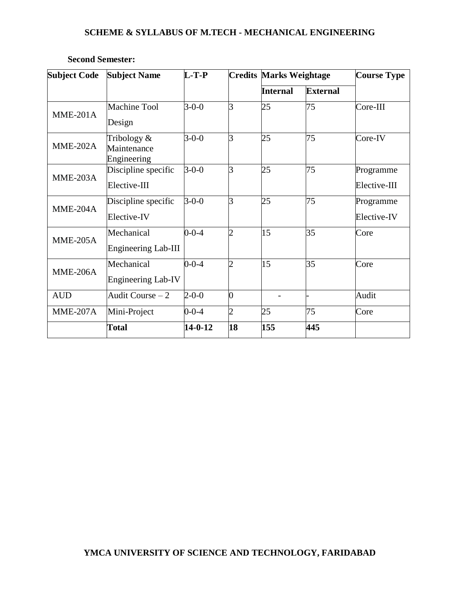| <b>Subject Code</b> | <b>Subject Name</b>                         | $L-T-P$       |                | <b>Credits Marks Weightage</b> |                 | <b>Course Type</b>        |
|---------------------|---------------------------------------------|---------------|----------------|--------------------------------|-----------------|---------------------------|
|                     |                                             |               |                | <b>Internal</b>                | <b>External</b> |                           |
| $MME-201A$          | <b>Machine Tool</b><br>Design               | $3-0-0$       | 3              | 25                             | 75              | $Core-III$                |
| <b>MME-202A</b>     | Tribology $&$<br>Maintenance<br>Engineering | $3-0-0$       | 3              | 25                             | 75              | Core-IV                   |
| $MME-203A$          | Discipline specific<br>Elective-III         | $3 - 0 - 0$   | 3              | 25                             | 75              | Programme<br>Elective-III |
| $MME-204A$          | Discipline specific<br>Elective-IV          | $3-0-0$       | 3              | 25                             | 75              | Programme<br>Elective-IV  |
| $MME-205A$          | Mechanical<br>Engineering Lab-III           | $0 - 0 - 4$   | 2              | 15                             | 35              | Core                      |
| <b>MME-206A</b>     | Mechanical<br>Engineering Lab-IV            | $0 - 0 - 4$   | 2              | 15                             | 35              | Core                      |
| <b>AUD</b>          | Audit Course $-2$                           | $2 - 0 - 0$   | 0              |                                |                 | Audit                     |
| $MME-207A$          | Mini-Project                                | $0 - 0 - 4$   | $\overline{2}$ | 25                             | 75              | Core                      |
|                     | <b>Total</b>                                | $14 - 0 - 12$ | 18             | 155                            | 445             |                           |

## **Second Semester:**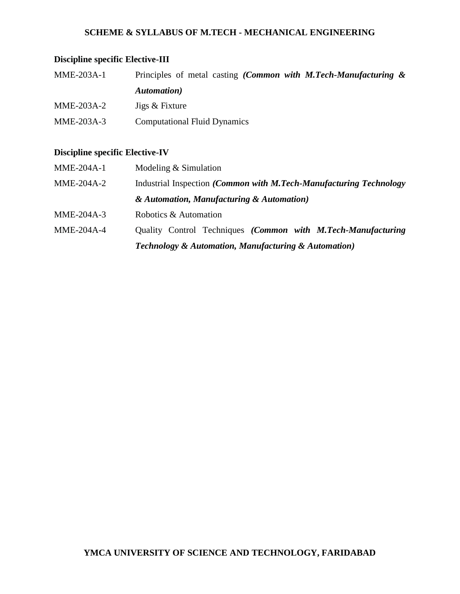## **Discipline specific Elective-III**

| <b>MME-203A-1</b> | Principles of metal casting <i>(Common with M.Tech-Manufacturing <math>\&amp;</math></i> |
|-------------------|------------------------------------------------------------------------------------------|
|                   | Automation)                                                                              |
| MME-203A-2        | Jigs & Fixture                                                                           |
| MME-203A-3        | <b>Computational Fluid Dynamics</b>                                                      |

## **Discipline specific Elective-IV**

| MME-204A-1   | Modeling $&$ Simulation                                              |
|--------------|----------------------------------------------------------------------|
| $MME-204A-2$ | Industrial Inspection (Common with M.Tech-Manufacturing Technology   |
|              | & Automation, Manufacturing & Automation)                            |
| $MME-204A-3$ | Robotics & Automation                                                |
| $MME-204A-4$ | Quality Control Techniques (Common with M.Tech-Manufacturing         |
|              | <b>Technology &amp; Automation, Manufacturing &amp; Automation</b> ) |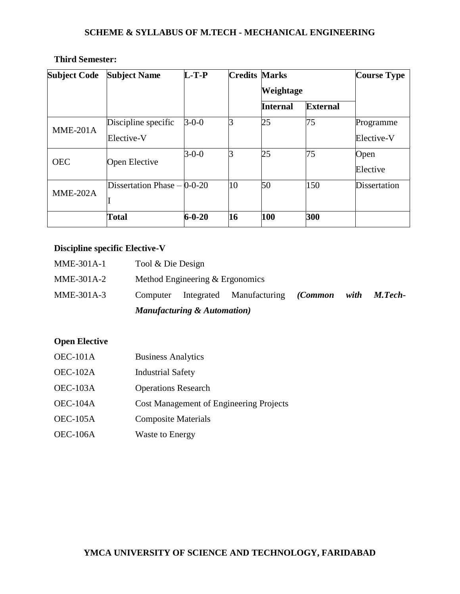| <b>Subject Code</b> | <b>Subject Name</b>           | $L-T-P$      | <b>Credits Marks</b> |                  |                 | <b>Course Type</b> |
|---------------------|-------------------------------|--------------|----------------------|------------------|-----------------|--------------------|
|                     |                               |              |                      | <b>Weightage</b> |                 |                    |
|                     |                               |              |                      | <b>Internal</b>  | <b>External</b> |                    |
| $MME-201A$          | Discipline specific           | $3-0-0$      |                      | 25               | 75              | Programme          |
|                     | Elective-V                    |              |                      |                  |                 | Elective-V         |
| <b>OEC</b>          | Open Elective                 | $3 - 0 - 0$  |                      | 25               | 75              | Open               |
|                     |                               |              |                      |                  |                 | Elective           |
| <b>MME-202A</b>     | Dissertation Phase $-$ 0-0-20 |              | 10                   | 50               | 150             | Dissertation       |
|                     |                               |              |                      |                  |                 |                    |
|                     | <b>Total</b>                  | $6 - 0 - 20$ | 16                   | 100              | 300             |                    |

## **Third Semester:**

## **Discipline specific Elective-V**

|              |                   | Manufacturing & Automation)       |                                  |      |                |
|--------------|-------------------|-----------------------------------|----------------------------------|------|----------------|
| MME-301A-3   | Computer          |                                   | Integrated Manufacturing (Common | with | <b>M.Tech-</b> |
| MME-301A-2   |                   | Method Engineering $&$ Ergonomics |                                  |      |                |
| $MME-301A-1$ | Tool & Die Design |                                   |                                  |      |                |

## **Open Elective**

- OEC-101A Business Analytics OEC-102A Industrial Safety
- OEC-103A Operations Research
- OEC-104A Cost Management of Engineering Projects
- OEC-105A Composite Materials
- OEC-106A Waste to Energy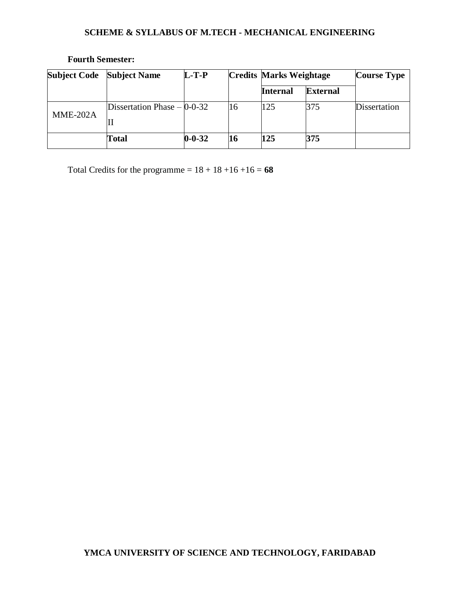| <b>Subject Code</b> | <b>Subject Name</b>           | $L-T-P$      |    | <b>Credits Marks Weightage</b> |                 | <b>Course Type</b> |
|---------------------|-------------------------------|--------------|----|--------------------------------|-----------------|--------------------|
|                     |                               |              |    | <b>Internal</b>                | <b>External</b> |                    |
| <b>MME-202A</b>     | Dissertation Phase $-$ 0-0-32 |              | 16 | 125                            | 375             | Dissertation       |
|                     |                               |              |    |                                |                 |                    |
|                     | Total                         | $0 - 0 - 32$ | 16 | 125                            | 375             |                    |

## **Fourth Semester:**

Total Credits for the programme =  $18 + 18 + 16 + 16 = 68$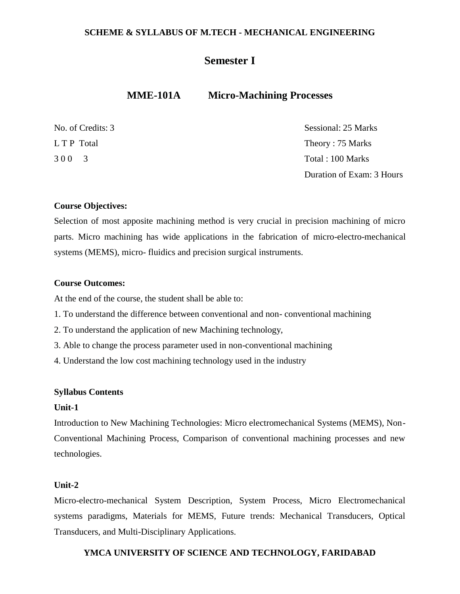## **Semester I**

## **MME-101A Micro-Machining Processes**

| No. of Credits: 3 | Sessional: 25 Marks       |
|-------------------|---------------------------|
| L T P Total       | Theory: 75 Marks          |
| 300 3             | Total: 100 Marks          |
|                   | Duration of Exam: 3 Hours |

#### **Course Objectives:**

Selection of most apposite machining method is very crucial in precision machining of micro parts. Micro machining has wide applications in the fabrication of micro-electro-mechanical systems (MEMS), micro- fluidics and precision surgical instruments.

#### **Course Outcomes:**

At the end of the course, the student shall be able to:

- 1. To understand the difference between conventional and non- conventional machining
- 2. To understand the application of new Machining technology,
- 3. Able to change the process parameter used in non-conventional machining
- 4. Understand the low cost machining technology used in the industry

#### **Syllabus Contents**

#### **Unit-1**

Introduction to New Machining Technologies: Micro electromechanical Systems (MEMS), Non-Conventional Machining Process, Comparison of conventional machining processes and new technologies.

#### **Unit-2**

Micro-electro-mechanical System Description, System Process, Micro Electromechanical systems paradigms, Materials for MEMS, Future trends: Mechanical Transducers, Optical Transducers, and Multi-Disciplinary Applications.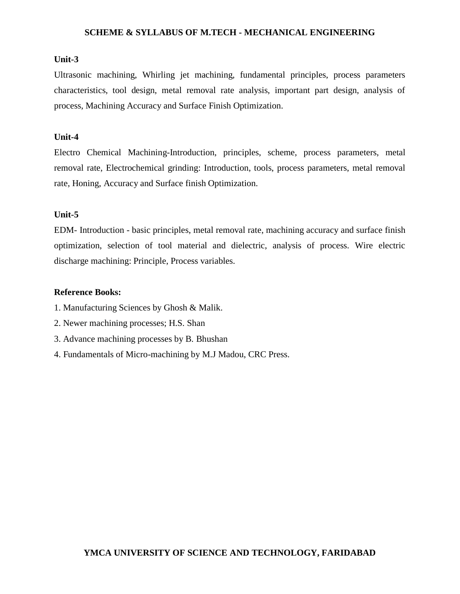#### **Unit-3**

Ultrasonic machining, Whirling jet machining, fundamental principles, process parameters characteristics, tool design, metal removal rate analysis, important part design, analysis of process, Machining Accuracy and Surface Finish Optimization.

#### **Unit-4**

Electro Chemical Machining-Introduction, principles, scheme, process parameters, metal removal rate, Electrochemical grinding: Introduction, tools, process parameters, metal removal rate, Honing, Accuracy and Surface finish Optimization.

#### **Unit-5**

EDM- Introduction - basic principles, metal removal rate, machining accuracy and surface finish optimization, selection of tool material and dielectric, analysis of process. Wire electric discharge machining: Principle, Process variables.

#### **Reference Books:**

- 1. Manufacturing Sciences by Ghosh & Malik.
- 2. Newer machining processes; H.S. Shan
- 3. Advance machining processes by B. Bhushan
- 4. Fundamentals of Micro-machining by M.J Madou, CRC Press.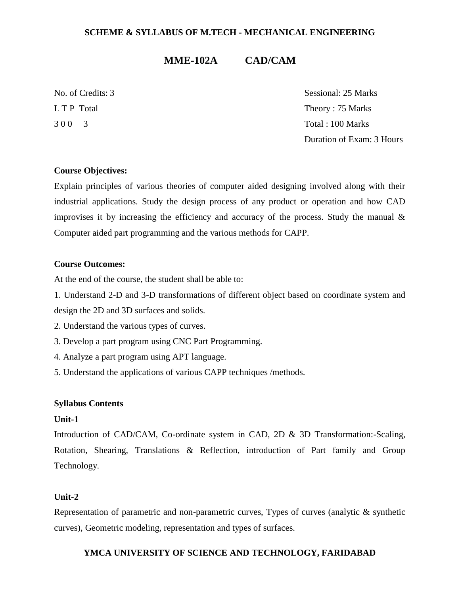## **MME-102A CAD/CAM**

No. of Credits: 3 Sessional: 25 Marks L T P Total Theory : 75 Marks 3 0 0 3 Total : 100 Marks Duration of Exam: 3 Hours

#### **Course Objectives:**

Explain principles of various theories of computer aided designing involved along with their industrial applications. Study the design process of any product or operation and how CAD improvises it by increasing the efficiency and accuracy of the process. Study the manual  $\&$ Computer aided part programming and the various methods for CAPP.

#### **Course Outcomes:**

At the end of the course, the student shall be able to:

1. Understand 2-D and 3-D transformations of different object based on coordinate system and design the 2D and 3D surfaces and solids.

- 2. Understand the various types of curves.
- 3. Develop a part program using CNC Part Programming.
- 4. Analyze a part program using APT language.
- 5. Understand the applications of various CAPP techniques /methods.

#### **Syllabus Contents**

#### **Unit-1**

Introduction of CAD/CAM, Co-ordinate system in CAD, 2D & 3D Transformation:-Scaling, Rotation, Shearing, Translations & Reflection, introduction of Part family and Group Technology.

#### **Unit-2**

Representation of parametric and non-parametric curves, Types of curves (analytic & synthetic curves), Geometric modeling, representation and types of surfaces.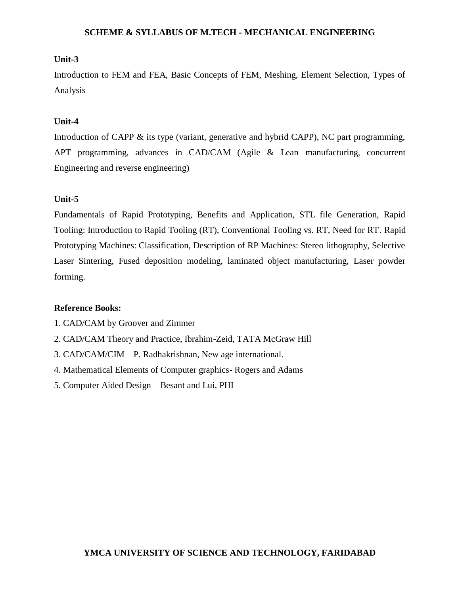#### **Unit-3**

Introduction to FEM and FEA, Basic Concepts of FEM, Meshing, Element Selection, Types of Analysis

#### **Unit-4**

Introduction of CAPP & its type (variant, generative and hybrid CAPP), NC part programming, APT programming, advances in CAD/CAM (Agile & Lean manufacturing, concurrent Engineering and reverse engineering)

#### **Unit-5**

Fundamentals of Rapid Prototyping, Benefits and Application, STL file Generation, Rapid Tooling: Introduction to Rapid Tooling (RT), Conventional Tooling vs. RT, Need for RT. Rapid Prototyping Machines: Classification, Description of RP Machines: Stereo lithography, Selective Laser Sintering, Fused deposition modeling, laminated object manufacturing, Laser powder forming.

#### **Reference Books:**

- 1. CAD/CAM by Groover and Zimmer
- 2. CAD/CAM Theory and Practice, Ibrahim-Zeid, TATA McGraw Hill
- 3. CAD/CAM/CIM P. Radhakrishnan, New age international.
- 4. Mathematical Elements of Computer graphics- Rogers and Adams
- 5. Computer Aided Design Besant and Lui, PHI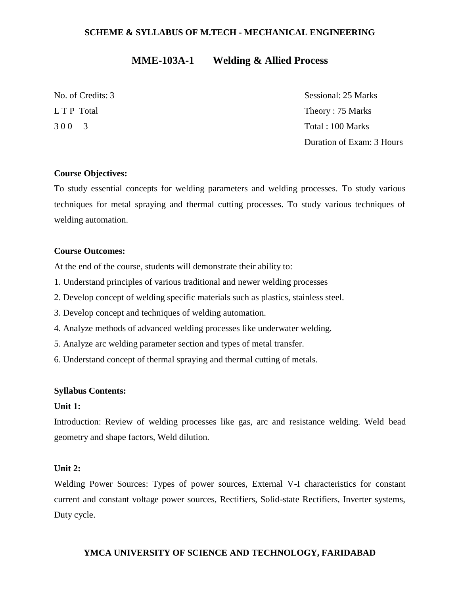## **MME-103A-1 Welding & Allied Process**

No. of Credits: 3 Sessional: 25 Marks L T P Total Theory : 75 Marks 3 0 0 3 Total : 100 Marks Duration of Exam: 3 Hours

#### **Course Objectives:**

To study essential concepts for welding parameters and welding processes. To study various techniques for metal spraying and thermal cutting processes. To study various techniques of welding automation.

#### **Course Outcomes:**

At the end of the course, students will demonstrate their ability to:

- 1. Understand principles of various traditional and newer welding processes
- 2. Develop concept of welding specific materials such as plastics, stainless steel.
- 3. Develop concept and techniques of welding automation.
- 4. Analyze methods of advanced welding processes like underwater welding.
- 5. Analyze arc welding parameter section and types of metal transfer.
- 6. Understand concept of thermal spraying and thermal cutting of metals.

#### **Syllabus Contents:**

#### **Unit 1:**

Introduction: Review of welding processes like gas, arc and resistance welding. Weld bead geometry and shape factors, Weld dilution.

#### **Unit 2:**

Welding Power Sources: Types of power sources, External V-I characteristics for constant current and constant voltage power sources, Rectifiers, Solid-state Rectifiers, Inverter systems, Duty cycle.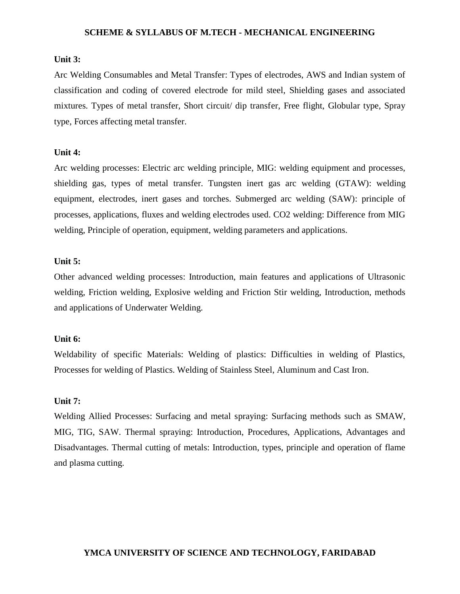#### **Unit 3:**

Arc Welding Consumables and Metal Transfer: Types of electrodes, AWS and Indian system of classification and coding of covered electrode for mild steel, Shielding gases and associated mixtures. Types of metal transfer, Short circuit/ dip transfer, Free flight, Globular type, Spray type, Forces affecting metal transfer.

#### **Unit 4:**

Arc welding processes: Electric arc welding principle, MIG: welding equipment and processes, shielding gas, types of metal transfer. Tungsten inert gas arc welding (GTAW): welding equipment, electrodes, inert gases and torches. Submerged arc welding (SAW): principle of processes, applications, fluxes and welding electrodes used. CO2 welding: Difference from MIG welding, Principle of operation, equipment, welding parameters and applications.

#### **Unit 5:**

Other advanced welding processes: Introduction, main features and applications of Ultrasonic welding, Friction welding, Explosive welding and Friction Stir welding, Introduction, methods and applications of Underwater Welding.

#### **Unit 6:**

Weldability of specific Materials: Welding of plastics: Difficulties in welding of Plastics, Processes for welding of Plastics. Welding of Stainless Steel, Aluminum and Cast Iron.

#### **Unit 7:**

Welding Allied Processes: Surfacing and metal spraying: Surfacing methods such as SMAW, MIG, TIG, SAW. Thermal spraying: Introduction, Procedures, Applications, Advantages and Disadvantages. Thermal cutting of metals: Introduction, types, principle and operation of flame and plasma cutting.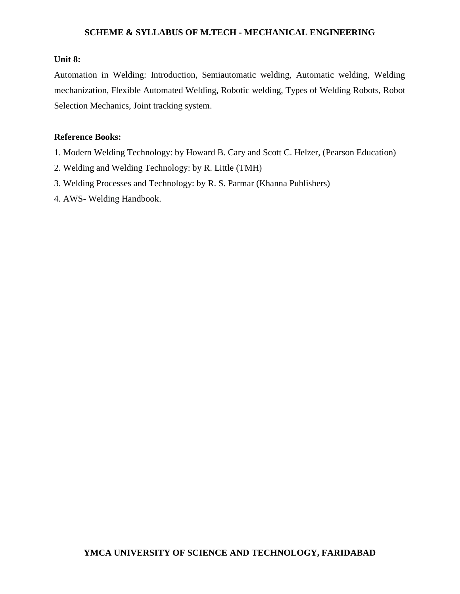#### **Unit 8:**

Automation in Welding: Introduction, Semiautomatic welding, Automatic welding, Welding mechanization, Flexible Automated Welding, Robotic welding, Types of Welding Robots, Robot Selection Mechanics, Joint tracking system.

#### **Reference Books:**

- 1. Modern Welding Technology: by Howard B. Cary and Scott C. Helzer, (Pearson Education)
- 2. Welding and Welding Technology: by R. Little (TMH)
- 3. Welding Processes and Technology: by R. S. Parmar (Khanna Publishers)
- 4. AWS- Welding Handbook.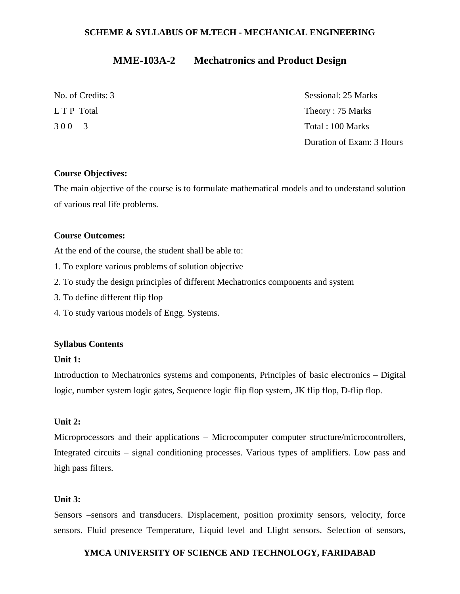## **MME-103A-2 Mechatronics and Product Design**

| No. of Credits: 3 | Sessional: 25 Marks       |
|-------------------|---------------------------|
| L T P Total       | Theory: 75 Marks          |
| 300 3             | Total: 100 Marks          |
|                   | Duration of Exam: 3 Hours |

#### **Course Objectives:**

The main objective of the course is to formulate mathematical models and to understand solution of various real life problems.

#### **Course Outcomes:**

At the end of the course, the student shall be able to:

- 1. To explore various problems of solution objective
- 2. To study the design principles of different Mechatronics components and system
- 3. To define different flip flop
- 4. To study various models of Engg. Systems.

#### **Syllabus Contents**

#### **Unit 1:**

Introduction to Mechatronics systems and components, Principles of basic electronics – Digital logic, number system logic gates, Sequence logic flip flop system, JK flip flop, D-flip flop.

#### **Unit 2:**

Microprocessors and their applications – Microcomputer computer structure/microcontrollers, Integrated circuits – signal conditioning processes. Various types of amplifiers. Low pass and high pass filters.

#### **Unit 3:**

Sensors –sensors and transducers. Displacement, position proximity sensors, velocity, force sensors. Fluid presence Temperature, Liquid level and Llight sensors. Selection of sensors,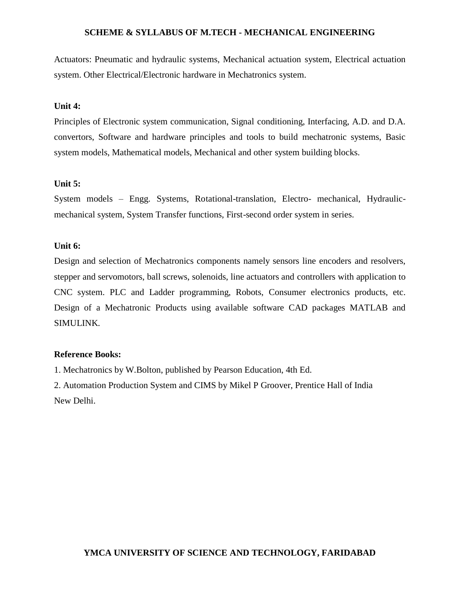Actuators: Pneumatic and hydraulic systems, Mechanical actuation system, Electrical actuation system. Other Electrical/Electronic hardware in Mechatronics system.

#### **Unit 4:**

Principles of Electronic system communication, Signal conditioning, Interfacing, A.D. and D.A. convertors, Software and hardware principles and tools to build mechatronic systems, Basic system models, Mathematical models, Mechanical and other system building blocks.

#### **Unit 5:**

System models – Engg. Systems, Rotational-translation, Electro- mechanical, Hydraulicmechanical system, System Transfer functions, First-second order system in series.

#### **Unit 6:**

Design and selection of Mechatronics components namely sensors line encoders and resolvers, stepper and servomotors, ball screws, solenoids, line actuators and controllers with application to CNC system. PLC and Ladder programming, Robots, Consumer electronics products, etc. Design of a Mechatronic Products using available software CAD packages MATLAB and SIMULINK.

#### **Reference Books:**

1. Mechatronics by W.Bolton, published by Pearson Education, 4th Ed.

2. Automation Production System and CIMS by Mikel P Groover, Prentice Hall of India New Delhi.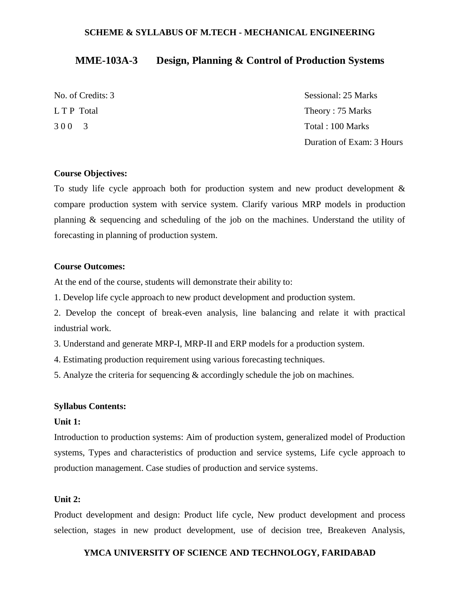## **MME-103A-3 Design, Planning & Control of Production Systems**

| No. of Credits: 3 | Sessional: 25 Marks       |
|-------------------|---------------------------|
| L T P Total       | Theory: 75 Marks          |
| 300 3             | Total : 100 Marks         |
|                   | Duration of Exam: 3 Hours |

#### **Course Objectives:**

To study life cycle approach both for production system and new product development & compare production system with service system. Clarify various MRP models in production planning & sequencing and scheduling of the job on the machines. Understand the utility of forecasting in planning of production system.

#### **Course Outcomes:**

At the end of the course, students will demonstrate their ability to:

1. Develop life cycle approach to new product development and production system.

2. Develop the concept of break-even analysis, line balancing and relate it with practical industrial work.

3. Understand and generate MRP-I, MRP-II and ERP models for a production system.

4. Estimating production requirement using various forecasting techniques.

5. Analyze the criteria for sequencing & accordingly schedule the job on machines.

#### **Syllabus Contents:**

#### **Unit 1:**

Introduction to production systems: Aim of production system, generalized model of Production systems, Types and characteristics of production and service systems, Life cycle approach to production management. Case studies of production and service systems.

#### **Unit 2:**

Product development and design: Product life cycle, New product development and process selection, stages in new product development, use of decision tree, Breakeven Analysis,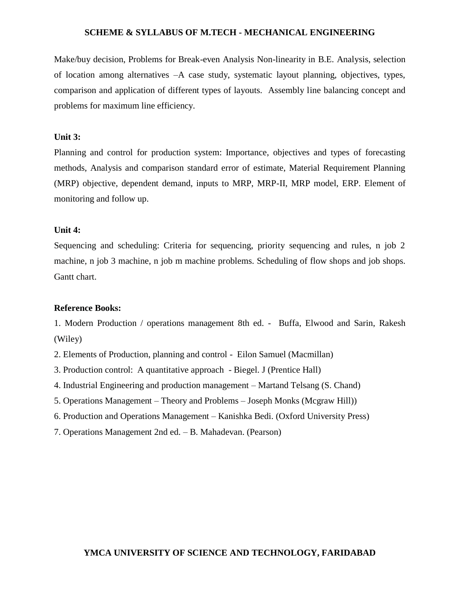Make/buy decision, Problems for Break-even Analysis Non-linearity in B.E. Analysis, selection of location among alternatives –A case study, systematic layout planning, objectives, types, comparison and application of different types of layouts. Assembly line balancing concept and problems for maximum line efficiency.

#### **Unit 3:**

Planning and control for production system: Importance, objectives and types of forecasting methods, Analysis and comparison standard error of estimate, Material Requirement Planning (MRP) objective, dependent demand, inputs to MRP, MRP-II, MRP model, ERP. Element of monitoring and follow up.

#### **Unit 4:**

Sequencing and scheduling: Criteria for sequencing, priority sequencing and rules, n job 2 machine, n job 3 machine, n job m machine problems. Scheduling of flow shops and job shops. Gantt chart.

#### **Reference Books:**

1. Modern Production / operations management 8th ed. - Buffa, Elwood and Sarin, Rakesh (Wiley)

2. Elements of Production, planning and control - Eilon Samuel (Macmillan)

- 3. Production control: A quantitative approach Biegel. J (Prentice Hall)
- 4. Industrial Engineering and production management Martand Telsang (S. Chand)
- 5. Operations Management Theory and Problems Joseph Monks (Mcgraw Hill))
- 6. Production and Operations Management Kanishka Bedi. (Oxford University Press)
- 7. Operations Management 2nd ed. B. Mahadevan. (Pearson)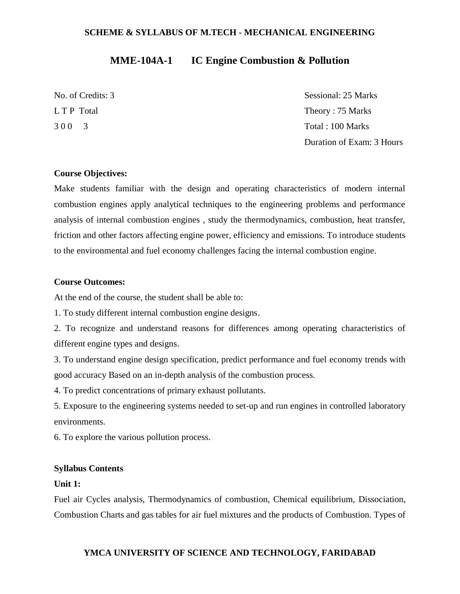## **MME-104A-1 IC Engine Combustion & Pollution**

No. of Credits: 3 Sessional: 25 Marks L T P Total Theory : 75 Marks 3 0 0 3 Total : 100 Marks Duration of Exam: 3 Hours

#### **Course Objectives:**

Make students familiar with the design and operating characteristics of modern internal combustion engines apply analytical techniques to the engineering problems and performance analysis of internal combustion engines , study the thermodynamics, combustion, heat transfer, friction and other factors affecting engine power, efficiency and emissions. To introduce students to the environmental and fuel economy challenges facing the internal combustion engine.

#### **Course Outcomes:**

At the end of the course, the student shall be able to:

1. To study different internal combustion engine designs.

2. To recognize and understand reasons for differences among operating characteristics of different engine types and designs.

3. To understand engine design specification, predict performance and fuel economy trends with good accuracy Based on an in-depth analysis of the combustion process.

4. To predict concentrations of primary exhaust pollutants.

5. Exposure to the engineering systems needed to set-up and run engines in controlled laboratory environments.

6. To explore the various pollution process.

#### **Syllabus Contents**

#### **Unit 1:**

Fuel air Cycles analysis, Thermodynamics of combustion, Chemical equilibrium, Dissociation, Combustion Charts and gas tables for air fuel mixtures and the products of Combustion. Types of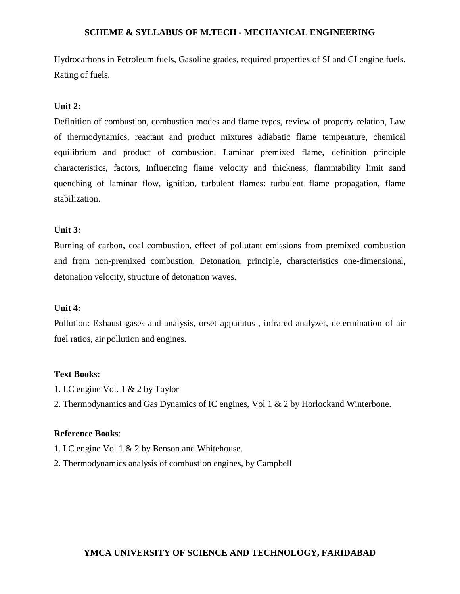Hydrocarbons in Petroleum fuels, Gasoline grades, required properties of SI and CI engine fuels. Rating of fuels.

#### **Unit 2:**

Definition of combustion, combustion modes and flame types, review of property relation, Law of thermodynamics, reactant and product mixtures adiabatic flame temperature, chemical equilibrium and product of combustion. Laminar premixed flame, definition principle characteristics, factors, Influencing flame velocity and thickness, flammability limit sand quenching of laminar flow, ignition, turbulent flames: turbulent flame propagation, flame stabilization.

#### **Unit 3:**

Burning of carbon, coal combustion, effect of pollutant emissions from premixed combustion and from non-premixed combustion. Detonation, principle, characteristics one-dimensional, detonation velocity, structure of detonation waves.

#### **Unit 4:**

Pollution: Exhaust gases and analysis, orset apparatus , infrared analyzer, determination of air fuel ratios, air pollution and engines.

#### **Text Books:**

- 1. I.C engine Vol. 1 & 2 by Taylor
- 2. Thermodynamics and Gas Dynamics of IC engines, Vol 1 & 2 by Horlockand Winterbone.

#### **Reference Books**:

- 1. I.C engine Vol 1 & 2 by Benson and Whitehouse.
- 2. Thermodynamics analysis of combustion engines, by Campbell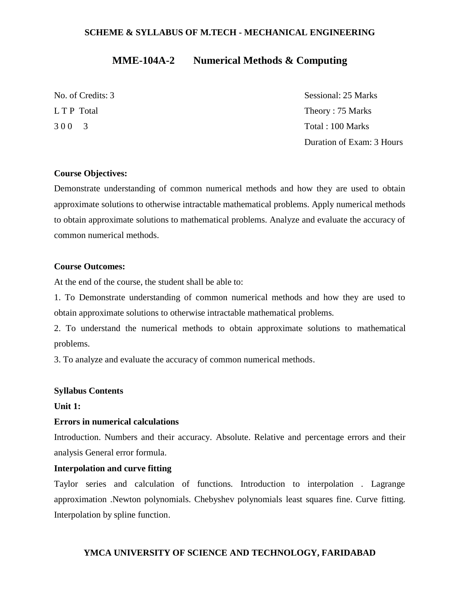## **MME-104A-2 Numerical Methods & Computing**

No. of Credits: 3 Sessional: 25 Marks L T P Total Theory : 75 Marks 3 0 0 3 Total : 100 Marks Duration of Exam: 3 Hours

#### **Course Objectives:**

Demonstrate understanding of common numerical methods and how they are used to obtain approximate solutions to otherwise intractable mathematical problems. Apply numerical methods to obtain approximate solutions to mathematical problems. Analyze and evaluate the accuracy of common numerical methods.

#### **Course Outcomes:**

At the end of the course, the student shall be able to:

1. To Demonstrate understanding of common numerical methods and how they are used to obtain approximate solutions to otherwise intractable mathematical problems.

2. To understand the numerical methods to obtain approximate solutions to mathematical problems.

3. To analyze and evaluate the accuracy of common numerical methods.

#### **Syllabus Contents**

#### **Unit 1:**

#### **Errors in numerical calculations**

Introduction. Numbers and their accuracy. Absolute. Relative and percentage errors and their analysis General error formula.

#### **Interpolation and curve fitting**

Taylor series and calculation of functions. Introduction to interpolation . Lagrange approximation .Newton polynomials. Chebyshev polynomials least squares fine. Curve fitting. Interpolation by spline function.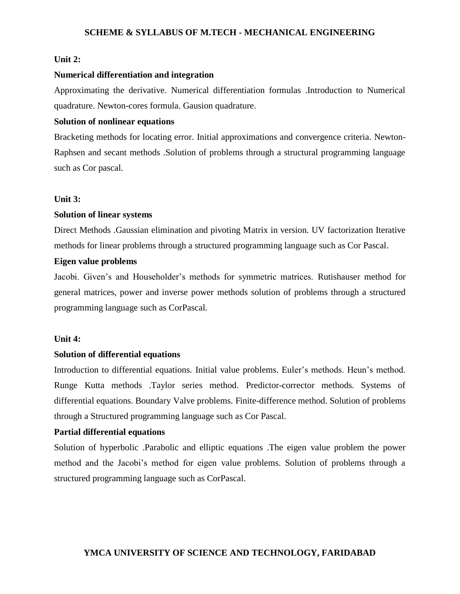#### **Unit 2:**

#### **Numerical differentiation and integration**

Approximating the derivative. Numerical differentiation formulas .Introduction to Numerical quadrature. Newton-cores formula. Gausion quadrature.

#### **Solution of nonlinear equations**

Bracketing methods for locating error. Initial approximations and convergence criteria. Newton-Raphsen and secant methods .Solution of problems through a structural programming language such as Cor pascal.

#### **Unit 3:**

#### **Solution of linear systems**

Direct Methods .Gaussian elimination and pivoting Matrix in version. UV factorization Iterative methods for linear problems through a structured programming language such as Cor Pascal.

### **Eigen value problems**

Jacobi. Given's and Householder's methods for symmetric matrices. Rutishauser method for general matrices, power and inverse power methods solution of problems through a structured programming language such as CorPascal.

#### **Unit 4:**

#### **Solution of differential equations**

Introduction to differential equations. Initial value problems. Euler's methods. Heun's method. Runge Kutta methods .Taylor series method. Predictor-corrector methods. Systems of differential equations. Boundary Valve problems. Finite-difference method. Solution of problems through a Structured programming language such as Cor Pascal.

#### **Partial differential equations**

Solution of hyperbolic .Parabolic and elliptic equations .The eigen value problem the power method and the Jacobi's method for eigen value problems. Solution of problems through a structured programming language such as CorPascal.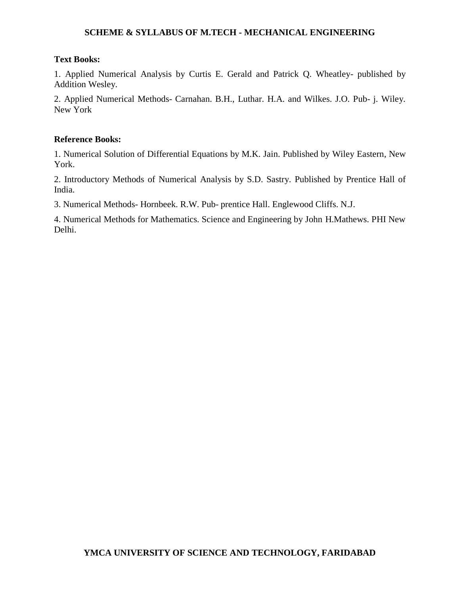#### **Text Books:**

1. Applied Numerical Analysis by Curtis E. Gerald and Patrick Q. Wheatley- published by Addition Wesley.

2. Applied Numerical Methods- Carnahan. B.H., Luthar. H.A. and Wilkes. J.O. Pub- j. Wiley. New York

#### **Reference Books:**

1. Numerical Solution of Differential Equations by M.K. Jain. Published by Wiley Eastern, New York.

2. Introductory Methods of Numerical Analysis by S.D. Sastry. Published by Prentice Hall of India.

3. Numerical Methods- Hornbeek. R.W. Pub- prentice Hall. Englewood Cliffs. N.J.

4. Numerical Methods for Mathematics. Science and Engineering by John H.Mathews. PHI New Delhi.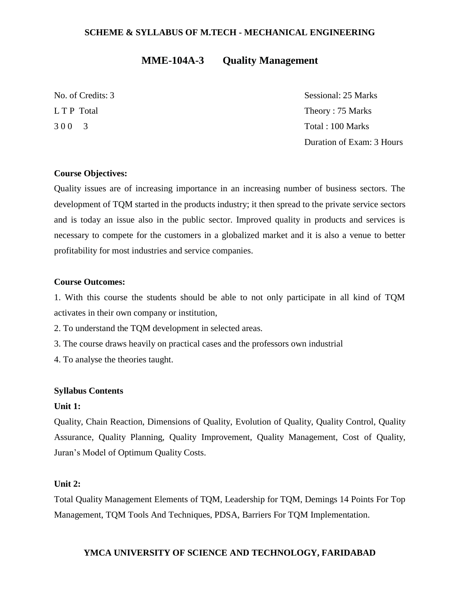## **MME-104A-3 Quality Management**

No. of Credits: 3 Sessional: 25 Marks L T P Total Theory : 75 Marks 3 0 0 3 Total : 100 Marks Duration of Exam: 3 Hours

#### **Course Objectives:**

Quality issues are of increasing importance in an increasing number of business sectors. The development of TQM started in the products industry; it then spread to the private service sectors and is today an issue also in the public sector. Improved quality in products and services is necessary to compete for the customers in a globalized market and it is also a venue to better profitability for most industries and service companies.

#### **Course Outcomes:**

1. With this course the students should be able to not only participate in all kind of TQM activates in their own company or institution,

2. To understand the TQM development in selected areas.

3. The course draws heavily on practical cases and the professors own industrial

4. To analyse the theories taught.

#### **Syllabus Contents**

#### **Unit 1:**

Quality, Chain Reaction, Dimensions of Quality, Evolution of Quality, Quality Control, Quality Assurance, Quality Planning, Quality Improvement, Quality Management, Cost of Quality, Juran's Model of Optimum Quality Costs.

#### **Unit 2:**

Total Quality Management Elements of TQM, Leadership for TQM, Demings 14 Points For Top Management, TQM Tools And Techniques, PDSA, Barriers For TQM Implementation.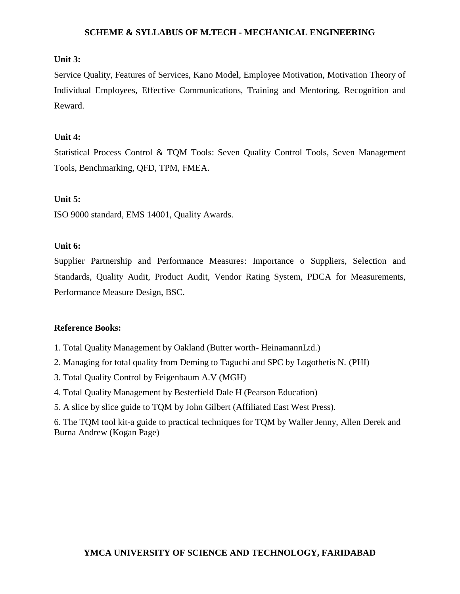#### **Unit 3:**

Service Quality, Features of Services, Kano Model, Employee Motivation, Motivation Theory of Individual Employees, Effective Communications, Training and Mentoring, Recognition and Reward.

#### **Unit 4:**

Statistical Process Control & TQM Tools: Seven Quality Control Tools, Seven Management Tools, Benchmarking, QFD, TPM, FMEA.

#### **Unit 5:**

ISO 9000 standard, EMS 14001, Quality Awards.

## **Unit 6:**

Supplier Partnership and Performance Measures: Importance o Suppliers, Selection and Standards, Quality Audit, Product Audit, Vendor Rating System, PDCA for Measurements, Performance Measure Design, BSC.

#### **Reference Books:**

- 1. Total Quality Management by Oakland (Butter worth- HeinamannLtd.)
- 2. Managing for total quality from Deming to Taguchi and SPC by Logothetis N. (PHI)
- 3. Total Quality Control by Feigenbaum A.V (MGH)
- 4. Total Quality Management by Besterfield Dale H (Pearson Education)
- 5. A slice by slice guide to TQM by John Gilbert (Affiliated East West Press).

6. The TQM tool kit-a guide to practical techniques for TQM by Waller Jenny, Allen Derek and Burna Andrew (Kogan Page)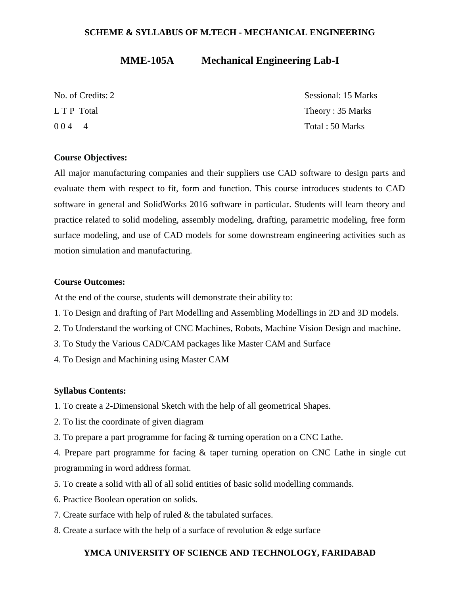## **MME-105A Mechanical Engineering Lab-I**

| No. of Credits: 2 | Sessional: 15 Marks |
|-------------------|---------------------|
| L T P Total       | Theory: 35 Marks    |
| $004 - 4$         | Total: 50 Marks     |

#### **Course Objectives:**

All major manufacturing companies and their suppliers use CAD software to design parts and evaluate them with respect to fit, form and function. This course introduces students to CAD software in general and SolidWorks 2016 software in particular. Students will learn theory and practice related to solid modeling, assembly modeling, drafting, parametric modeling, free form surface modeling, and use of CAD models for some downstream engineering activities such as motion simulation and manufacturing.

#### **Course Outcomes:**

At the end of the course, students will demonstrate their ability to:

- 1. To Design and drafting of Part Modelling and Assembling Modellings in 2D and 3D models.
- 2. To Understand the working of CNC Machines, Robots, Machine Vision Design and machine.
- 3. To Study the Various CAD/CAM packages like Master CAM and Surface
- 4. To Design and Machining using Master CAM

#### **Syllabus Contents:**

- 1. To create a 2-Dimensional Sketch with the help of all geometrical Shapes.
- 2. To list the coordinate of given diagram
- 3. To prepare a part programme for facing & turning operation on a CNC Lathe.

4. Prepare part programme for facing & taper turning operation on CNC Lathe in single cut programming in word address format.

- 5. To create a solid with all of all solid entities of basic solid modelling commands.
- 6. Practice Boolean operation on solids.
- 7. Create surface with help of ruled & the tabulated surfaces.
- 8. Create a surface with the help of a surface of revolution & edge surface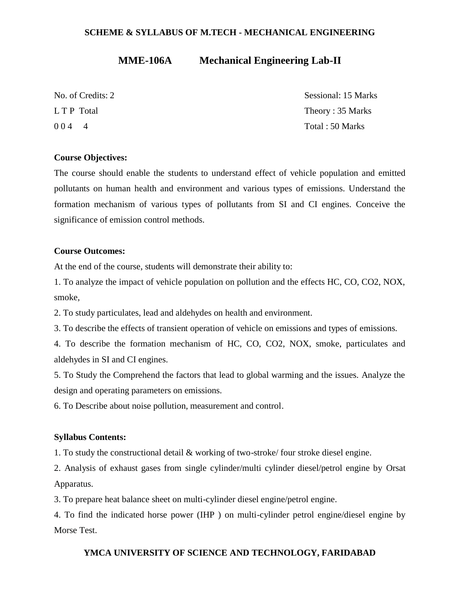## **MME-106A Mechanical Engineering Lab-II**

| No. of Credits: 2     | Sessional: 15 Marks |
|-----------------------|---------------------|
| L T P Total           | Theory: 35 Marks    |
| 004<br>$\overline{4}$ | Total: 50 Marks     |

#### **Course Objectives:**

The course should enable the students to understand effect of vehicle population and emitted pollutants on human health and environment and various types of emissions. Understand the formation mechanism of various types of pollutants from SI and CI engines. Conceive the significance of emission control methods.

#### **Course Outcomes:**

At the end of the course, students will demonstrate their ability to:

1. To analyze the impact of vehicle population on pollution and the effects HC, CO, CO2, NOX, smoke,

2. To study particulates, lead and aldehydes on health and environment.

3. To describe the effects of transient operation of vehicle on emissions and types of emissions.

4. To describe the formation mechanism of HC, CO, CO2, NOX, smoke, particulates and aldehydes in SI and CI engines.

5. To Study the Comprehend the factors that lead to global warming and the issues. Analyze the design and operating parameters on emissions.

6. To Describe about noise pollution, measurement and control.

#### **Syllabus Contents:**

1. To study the constructional detail & working of two-stroke/ four stroke diesel engine.

2. Analysis of exhaust gases from single cylinder/multi cylinder diesel/petrol engine by Orsat Apparatus.

3. To prepare heat balance sheet on multi-cylinder diesel engine/petrol engine.

4. To find the indicated horse power (IHP ) on multi-cylinder petrol engine/diesel engine by Morse Test.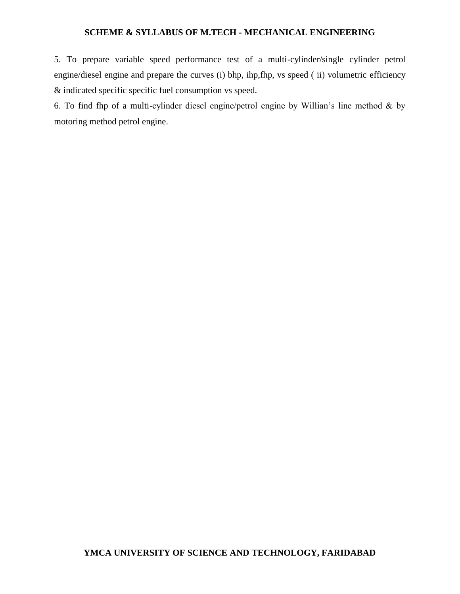5. To prepare variable speed performance test of a multi-cylinder/single cylinder petrol engine/diesel engine and prepare the curves (i) bhp, ihp,fhp, vs speed ( ii) volumetric efficiency & indicated specific specific fuel consumption vs speed.

6. To find fhp of a multi-cylinder diesel engine/petrol engine by Willian's line method & by motoring method petrol engine.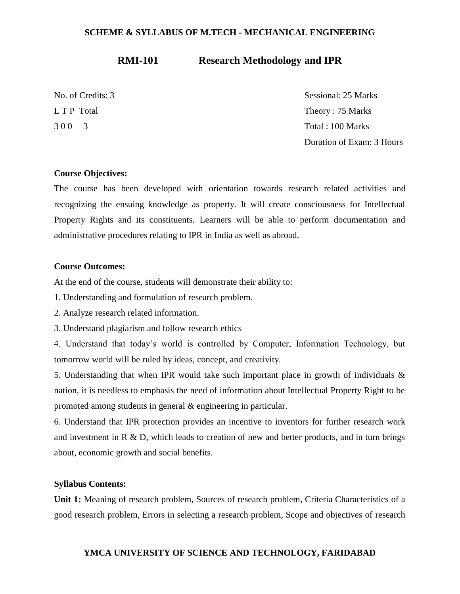## **RMI-101 Research Methodology and IPR**

No. of Credits: 3 Sessional: 25 Marks L T P Total Theory : 75 Marks 3 0 0 3 Total : 100 Marks Duration of Exam: 3 Hours

#### **Course Objectives:**

The course has been developed with orientation towards research related activities and recognizing the ensuing knowledge as property. It will create consciousness for Intellectual Property Rights and its constituents. Learners will be able to perform documentation and administrative procedures relating to IPR in India as well as abroad.

#### **Course Outcomes:**

At the end of the course, students will demonstrate their ability to:

- 1. Understanding and formulation of research problem.
- 2. Analyze research related information.
- 3. Understand plagiarism and follow research ethics

4. Understand that today's world is controlled by Computer, Information Technology, but tomorrow world will be ruled by ideas, concept, and creativity.

5. Understanding that when IPR would take such important place in growth of individuals & nation, it is needless to emphasis the need of information about Intellectual Property Right to be promoted among students in general & engineering in particular.

6. Understand that IPR protection provides an incentive to inventors for further research work and investment in R & D, which leads to creation of new and better products, and in turn brings about, economic growth and social benefits.

#### **Syllabus Contents:**

**Unit 1:** Meaning of research problem, Sources of research problem, Criteria Characteristics of a good research problem, Errors in selecting a research problem, Scope and objectives of research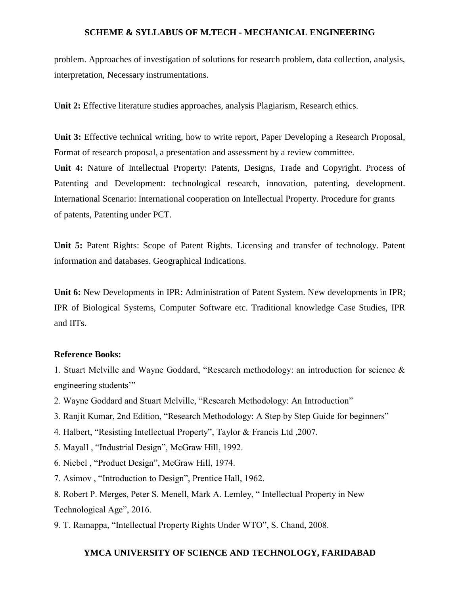problem. Approaches of investigation of solutions for research problem, data collection, analysis, interpretation, Necessary instrumentations.

**Unit 2:** Effective literature studies approaches, analysis Plagiarism, Research ethics.

**Unit 3:** Effective technical writing, how to write report, Paper Developing a Research Proposal, Format of research proposal, a presentation and assessment by a review committee. **Unit 4:** Nature of Intellectual Property: Patents, Designs, Trade and Copyright. Process of Patenting and Development: technological research, innovation, patenting, development. International Scenario: International cooperation on Intellectual Property. Procedure for grants of patents, Patenting under PCT.

**Unit 5:** Patent Rights: Scope of Patent Rights. Licensing and transfer of technology. Patent information and databases. Geographical Indications.

**Unit 6:** New Developments in IPR: Administration of Patent System. New developments in IPR; IPR of Biological Systems, Computer Software etc. Traditional knowledge Case Studies, IPR and IITs.

#### **Reference Books:**

1. Stuart Melville and Wayne Goddard, "Research methodology: an introduction for science & engineering students'"

- 2. Wayne Goddard and Stuart Melville, "Research Methodology: An Introduction"
- 3. Ranjit Kumar, 2nd Edition, "Research Methodology: A Step by Step Guide for beginners"
- 4. Halbert, "Resisting Intellectual Property", Taylor & Francis Ltd ,2007.
- 5. Mayall , "Industrial Design", McGraw Hill, 1992.
- 6. Niebel , "Product Design", McGraw Hill, 1974.
- 7. Asimov , "Introduction to Design", Prentice Hall, 1962.
- 8. Robert P. Merges, Peter S. Menell, Mark A. Lemley, " Intellectual Property in New Technological Age", 2016.
- 9. T. Ramappa, "Intellectual Property Rights Under WTO", S. Chand, 2008.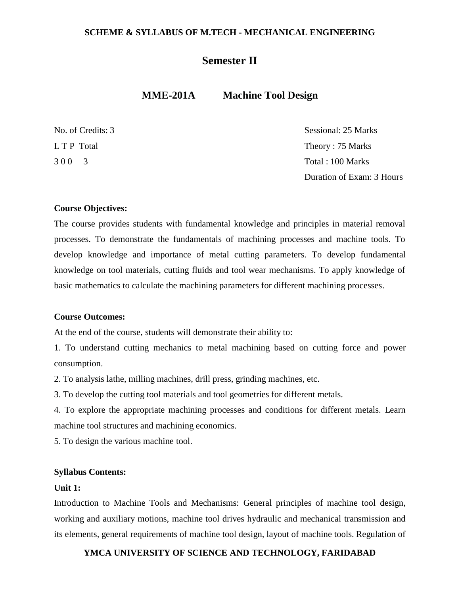## **Semester II**

## **MME-201A Machine Tool Design**

| No. of Credits: 3 | Sessional: 25 Marks       |
|-------------------|---------------------------|
| L T P Total       | Theory: 75 Marks          |
| 300 3             | Total : 100 Marks         |
|                   | Duration of Exam: 3 Hours |

#### **Course Objectives:**

The course provides students with fundamental knowledge and principles in material removal processes. To demonstrate the fundamentals of machining processes and machine tools. To develop knowledge and importance of metal cutting parameters. To develop fundamental knowledge on tool materials, cutting fluids and tool wear mechanisms. To apply knowledge of basic mathematics to calculate the machining parameters for different machining processes.

#### **Course Outcomes:**

At the end of the course, students will demonstrate their ability to:

1. To understand cutting mechanics to metal machining based on cutting force and power consumption.

2. To analysis lathe, milling machines, drill press, grinding machines, etc.

3. To develop the cutting tool materials and tool geometries for different metals.

4. To explore the appropriate machining processes and conditions for different metals. Learn machine tool structures and machining economics.

5. To design the various machine tool.

#### **Syllabus Contents:**

#### **Unit 1:**

Introduction to Machine Tools and Mechanisms: General principles of machine tool design, working and auxiliary motions, machine tool drives hydraulic and mechanical transmission and its elements, general requirements of machine tool design, layout of machine tools. Regulation of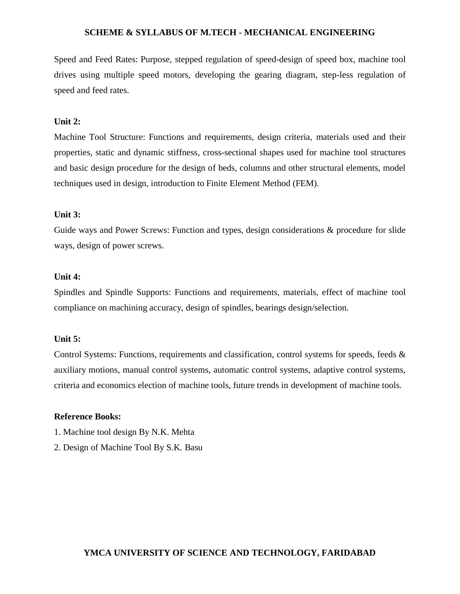Speed and Feed Rates: Purpose, stepped regulation of speed-design of speed box, machine tool drives using multiple speed motors, developing the gearing diagram, step-less regulation of speed and feed rates.

#### **Unit 2:**

Machine Tool Structure: Functions and requirements, design criteria, materials used and their properties, static and dynamic stiffness, cross-sectional shapes used for machine tool structures and basic design procedure for the design of beds, columns and other structural elements, model techniques used in design, introduction to Finite Element Method (FEM).

#### **Unit 3:**

Guide ways and Power Screws: Function and types, design considerations & procedure for slide ways, design of power screws.

#### **Unit 4:**

Spindles and Spindle Supports: Functions and requirements, materials, effect of machine tool compliance on machining accuracy, design of spindles, bearings design/selection.

#### **Unit 5:**

Control Systems: Functions, requirements and classification, control systems for speeds, feeds & auxiliary motions, manual control systems, automatic control systems, adaptive control systems, criteria and economics election of machine tools, future trends in development of machine tools.

#### **Reference Books:**

- 1. Machine tool design By N.K. Mehta
- 2. Design of Machine Tool By S.K. Basu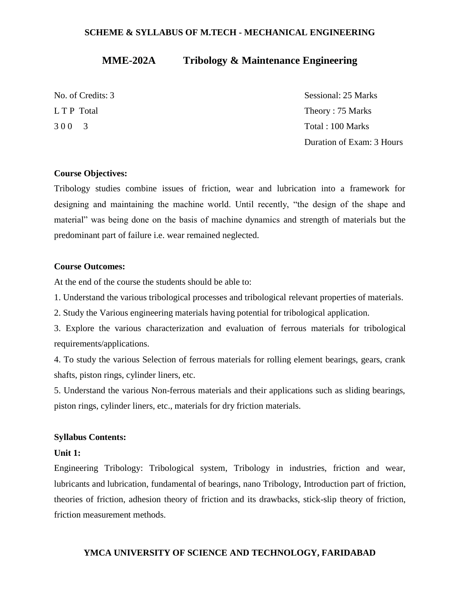## **MME-202A Tribology & Maintenance Engineering**

No. of Credits: 3 Sessional: 25 Marks L T P Total Theory : 75 Marks 3 0 0 3 Total : 100 Marks Duration of Exam: 3 Hours

#### **Course Objectives:**

Tribology studies combine issues of friction, wear and lubrication into a framework for designing and maintaining the machine world. Until recently, "the design of the shape and material" was being done on the basis of machine dynamics and strength of materials but the predominant part of failure i.e. wear remained neglected.

#### **Course Outcomes:**

At the end of the course the students should be able to:

1. Understand the various tribological processes and tribological relevant properties of materials.

2. Study the Various engineering materials having potential for tribological application.

3. Explore the various characterization and evaluation of ferrous materials for tribological requirements/applications.

4. To study the various Selection of ferrous materials for rolling element bearings, gears, crank shafts, piston rings, cylinder liners, etc.

5. Understand the various Non-ferrous materials and their applications such as sliding bearings, piston rings, cylinder liners, etc., materials for dry friction materials.

#### **Syllabus Contents:**

#### **Unit 1:**

Engineering Tribology: Tribological system, Tribology in industries, friction and wear, lubricants and lubrication, fundamental of bearings, nano Tribology, Introduction part of friction, theories of friction, adhesion theory of friction and its drawbacks, stick-slip theory of friction, friction measurement methods.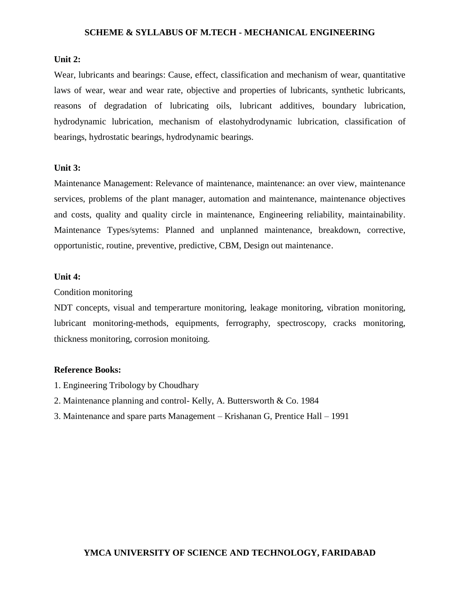#### **Unit 2:**

Wear, lubricants and bearings: Cause, effect, classification and mechanism of wear, quantitative laws of wear, wear and wear rate, objective and properties of lubricants, synthetic lubricants, reasons of degradation of lubricating oils, lubricant additives, boundary lubrication, hydrodynamic lubrication, mechanism of elastohydrodynamic lubrication, classification of bearings, hydrostatic bearings, hydrodynamic bearings.

#### **Unit 3:**

Maintenance Management: Relevance of maintenance, maintenance: an over view, maintenance services, problems of the plant manager, automation and maintenance, maintenance objectives and costs, quality and quality circle in maintenance, Engineering reliability, maintainability. Maintenance Types/sytems: Planned and unplanned maintenance, breakdown, corrective, opportunistic, routine, preventive, predictive, CBM, Design out maintenance.

#### **Unit 4:**

#### Condition monitoring

NDT concepts, visual and temperarture monitoring, leakage monitoring, vibration monitoring, lubricant monitoring-methods, equipments, ferrography, spectroscopy, cracks monitoring, thickness monitoring, corrosion monitoing.

#### **Reference Books:**

- 1. Engineering Tribology by Choudhary
- 2. Maintenance planning and control- Kelly, A. Buttersworth & Co. 1984
- 3. Maintenance and spare parts Management Krishanan G, Prentice Hall 1991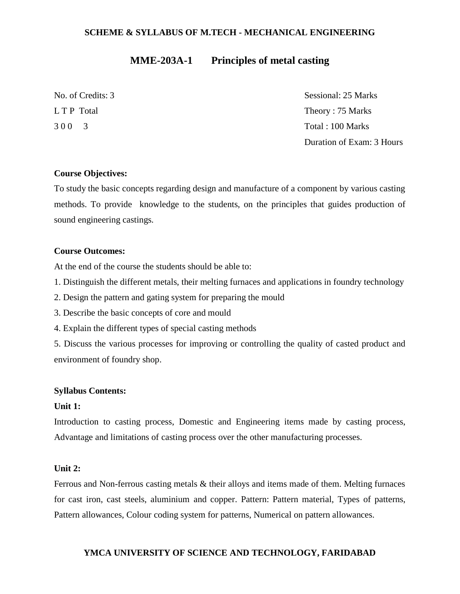## **MME-203A-1 Principles of metal casting**

No. of Credits: 3 Sessional: 25 Marks L T P Total Theory : 75 Marks 3 0 0 3 Total : 100 Marks Duration of Exam: 3 Hours

#### **Course Objectives:**

To study the basic concepts regarding design and manufacture of a component by various casting methods. To provide knowledge to the students, on the principles that guides production of sound engineering castings.

#### **Course Outcomes:**

At the end of the course the students should be able to:

- 1. Distinguish the different metals, their melting furnaces and applications in foundry technology
- 2. Design the pattern and gating system for preparing the mould
- 3. Describe the basic concepts of core and mould
- 4. Explain the different types of special casting methods

5. Discuss the various processes for improving or controlling the quality of casted product and environment of foundry shop.

#### **Syllabus Contents:**

#### **Unit 1:**

Introduction to casting process, Domestic and Engineering items made by casting process, Advantage and limitations of casting process over the other manufacturing processes.

#### **Unit 2:**

Ferrous and Non-ferrous casting metals & their alloys and items made of them. Melting furnaces for cast iron, cast steels, aluminium and copper. Pattern: Pattern material, Types of patterns, Pattern allowances, Colour coding system for patterns, Numerical on pattern allowances.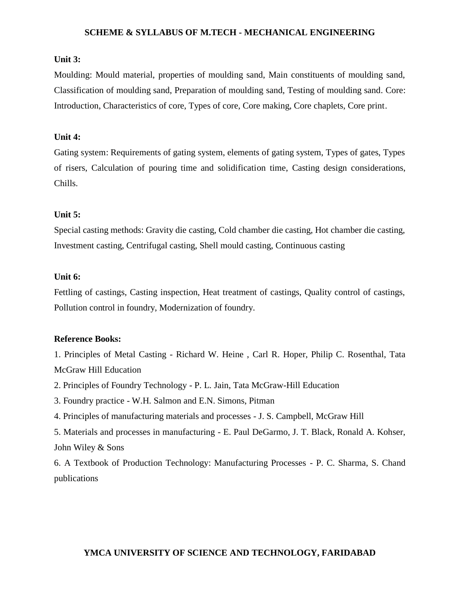#### **Unit 3:**

Moulding: Mould material, properties of moulding sand, Main constituents of moulding sand, Classification of moulding sand, Preparation of moulding sand, Testing of moulding sand. Core: Introduction, Characteristics of core, Types of core, Core making, Core chaplets, Core print.

#### **Unit 4:**

Gating system: Requirements of gating system, elements of gating system, Types of gates, Types of risers, Calculation of pouring time and solidification time, Casting design considerations, Chills.

#### **Unit 5:**

Special casting methods: Gravity die casting, Cold chamber die casting, Hot chamber die casting, Investment casting, Centrifugal casting, Shell mould casting, Continuous casting

#### **Unit 6:**

Fettling of castings, Casting inspection, Heat treatment of castings, Quality control of castings, Pollution control in foundry, Modernization of foundry.

#### **Reference Books:**

1. Principles of Metal Casting - Richard W. Heine , Carl R. Hoper, Philip C. Rosenthal, Tata McGraw Hill Education

2. Principles of Foundry Technology - P. L. Jain, Tata McGraw-Hill Education

- 3. Foundry practice W.H. Salmon and E.N. Simons, Pitman
- 4. Principles of manufacturing materials and processes J. S. Campbell, McGraw Hill

5. Materials and processes in manufacturing - E. Paul DeGarmo, J. T. Black, Ronald A. Kohser, John Wiley & Sons

6. A Textbook of Production Technology: Manufacturing Processes - P. C. Sharma, S. Chand publications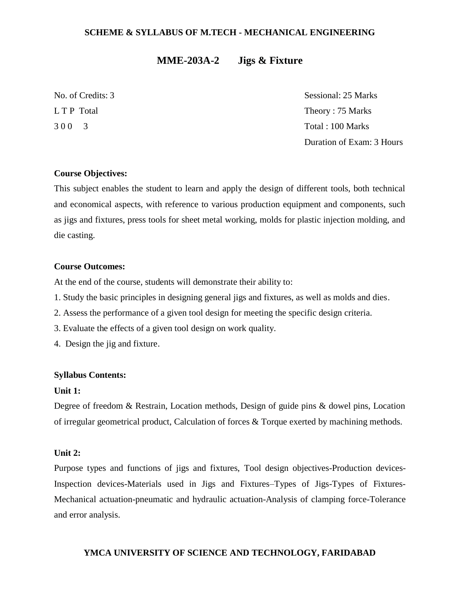# **MME-203A-2 Jigs & Fixture**

No. of Credits: 3 Sessional: 25 Marks L T P Total Theory : 75 Marks 3 0 0 3 Total : 100 Marks Duration of Exam: 3 Hours

### **Course Objectives:**

This subject enables the student to learn and apply the design of different tools, both technical and economical aspects, with reference to various production equipment and components, such as jigs and fixtures, press tools for sheet metal working, molds for plastic injection molding, and die casting.

### **Course Outcomes:**

At the end of the course, students will demonstrate their ability to:

- 1. Study the basic principles in designing general jigs and fixtures, as well as molds and dies.
- 2. Assess the performance of a given tool design for meeting the specific design criteria.
- 3. Evaluate the effects of a given tool design on work quality.
- 4. Design the jig and fixture.

#### **Syllabus Contents:**

#### **Unit 1:**

Degree of freedom & Restrain, Location methods, Design of guide pins & dowel pins, Location of irregular geometrical product, Calculation of forces & Torque exerted by machining methods.

#### **Unit 2:**

Purpose types and functions of jigs and fixtures, Tool design objectives-Production devices-Inspection devices-Materials used in Jigs and Fixtures–Types of Jigs-Types of Fixtures-Mechanical actuation-pneumatic and hydraulic actuation-Analysis of clamping force-Tolerance and error analysis.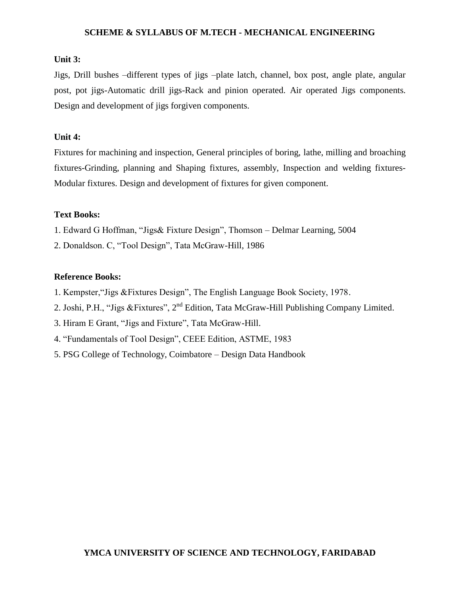### **Unit 3:**

Jigs, Drill bushes –different types of jigs –plate latch, channel, box post, angle plate, angular post, pot jigs-Automatic drill jigs-Rack and pinion operated. Air operated Jigs components. Design and development of jigs forgiven components.

### **Unit 4:**

Fixtures for machining and inspection, General principles of boring, lathe, milling and broaching fixtures-Grinding, planning and Shaping fixtures, assembly, Inspection and welding fixtures-Modular fixtures. Design and development of fixtures for given component.

### **Text Books:**

- 1. Edward G Hoffman, "Jigs& Fixture Design", Thomson Delmar Learning, 5004
- 2. Donaldson. C, "Tool Design", Tata McGraw-Hill, 1986

### **Reference Books:**

- 1. Kempster,"Jigs &Fixtures Design", The English Language Book Society, 1978.
- 2. Joshi, P.H., "Jigs &Fixtures", 2<sup>nd</sup> Edition, Tata McGraw-Hill Publishing Company Limited.
- 3. Hiram E Grant, "Jigs and Fixture", Tata McGraw-Hill.
- 4. "Fundamentals of Tool Design", CEEE Edition, ASTME, 1983
- 5. PSG College of Technology, Coimbatore Design Data Handbook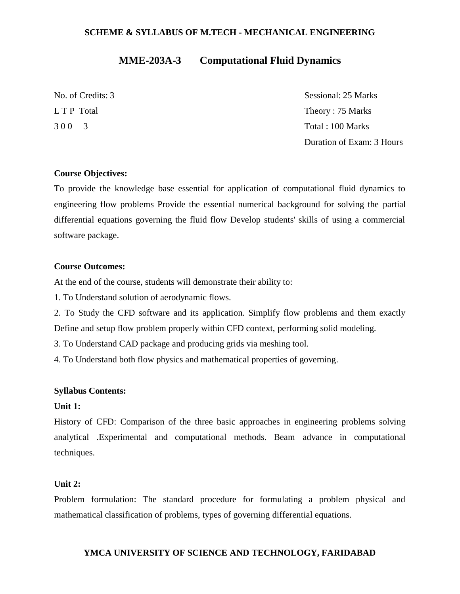# **MME-203A-3 Computational Fluid Dynamics**

No. of Credits: 3 Sessional: 25 Marks L T P Total Theory : 75 Marks 3 0 0 3 Total : 100 Marks Duration of Exam: 3 Hours

### **Course Objectives:**

To provide the knowledge base essential for application of computational fluid dynamics to engineering flow problems Provide the essential numerical background for solving the partial differential equations governing the fluid flow Develop students' skills of using a commercial software package.

#### **Course Outcomes:**

At the end of the course, students will demonstrate their ability to:

1. To Understand solution of aerodynamic flows.

2. To Study the CFD software and its application. Simplify flow problems and them exactly Define and setup flow problem properly within CFD context, performing solid modeling.

3. To Understand CAD package and producing grids via meshing tool.

4. To Understand both flow physics and mathematical properties of governing.

#### **Syllabus Contents:**

### **Unit 1:**

History of CFD: Comparison of the three basic approaches in engineering problems solving analytical .Experimental and computational methods. Beam advance in computational techniques.

### **Unit 2:**

Problem formulation: The standard procedure for formulating a problem physical and mathematical classification of problems, types of governing differential equations.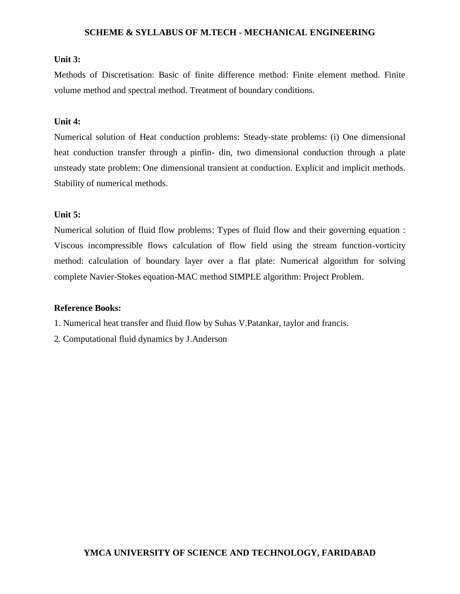### **Unit 3:**

Methods of Discretisation: Basic of finite difference method: Finite element method. Finite volume method and spectral method. Treatment of boundary conditions.

### **Unit 4:**

Numerical solution of Heat conduction problems: Steady-state problems: (i) One dimensional heat conduction transfer through a pinfin- din, two dimensional conduction through a plate unsteady state problem: One dimensional transient at conduction. Explicit and implicit methods. Stability of numerical methods.

### **Unit 5:**

Numerical solution of fluid flow problems: Types of fluid flow and their governing equation : Viscous incompressible flows calculation of flow field using the stream function-vorticity method: calculation of boundary layer over a flat plate: Numerical algorithm for solving complete Navier-Stokes equation-MAC method SIMPLE algorithm: Project Problem.

#### **Reference Books:**

- 1. Numerical heat transfer and fluid flow by Suhas V.Patankar, taylor and francis.
- 2. Computational fluid dynamics by J.Anderson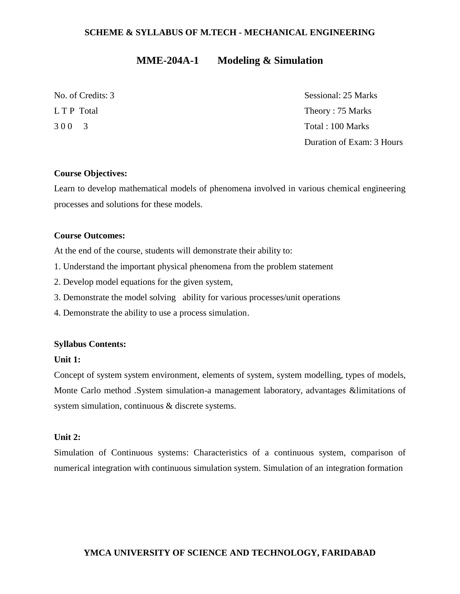# **MME-204A-1 Modeling & Simulation**

| No. of Credits: 3 | Sessional: 25 Marks       |
|-------------------|---------------------------|
| L T P Total       | Theory: 75 Marks          |
| 300 3             | Total: 100 Marks          |
|                   | Duration of Exam: 3 Hours |

### **Course Objectives:**

Learn to develop mathematical models of phenomena involved in various chemical engineering processes and solutions for these models.

### **Course Outcomes:**

At the end of the course, students will demonstrate their ability to:

- 1. Understand the important physical phenomena from the problem statement
- 2. Develop model equations for the given system,
- 3. Demonstrate the model solving ability for various processes/unit operations
- 4. Demonstrate the ability to use a process simulation.

### **Syllabus Contents:**

### **Unit 1:**

Concept of system system environment, elements of system, system modelling, types of models, Monte Carlo method .System simulation-a management laboratory, advantages &limitations of system simulation, continuous & discrete systems.

### **Unit 2:**

Simulation of Continuous systems: Characteristics of a continuous system, comparison of numerical integration with continuous simulation system. Simulation of an integration formation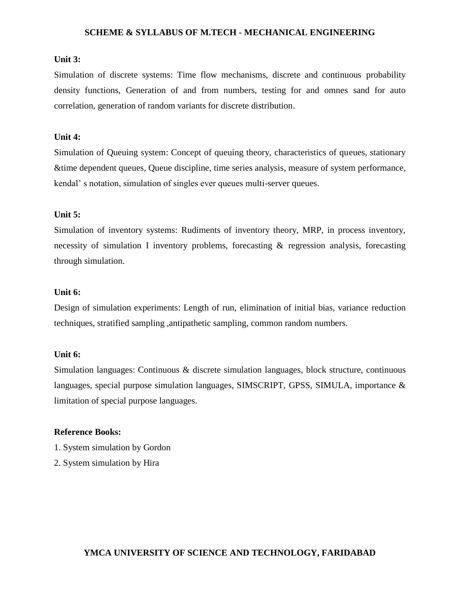### **Unit 3:**

Simulation of discrete systems: Time flow mechanisms, discrete and continuous probability density functions, Generation of and from numbers, testing for and omnes sand for auto correlation, generation of random variants for discrete distribution.

### **Unit 4:**

Simulation of Queuing system: Concept of queuing theory, characteristics of queues, stationary &time dependent queues, Queue discipline, time series analysis, measure of system performance, kendal' s notation, simulation of singles ever queues multi-server queues.

### **Unit 5:**

Simulation of inventory systems: Rudiments of inventory theory, MRP, in process inventory, necessity of simulation I inventory problems, forecasting & regression analysis, forecasting through simulation.

### **Unit 6:**

Design of simulation experiments: Length of run, elimination of initial bias, variance reduction techniques, stratified sampling ,antipathetic sampling, common random numbers.

#### **Unit 6:**

Simulation languages: Continuous & discrete simulation languages, block structure, continuous languages, special purpose simulation languages, SIMSCRIPT, GPSS, SIMULA, importance & limitation of special purpose languages.

#### **Reference Books:**

- 1. System simulation by Gordon
- 2. System simulation by Hira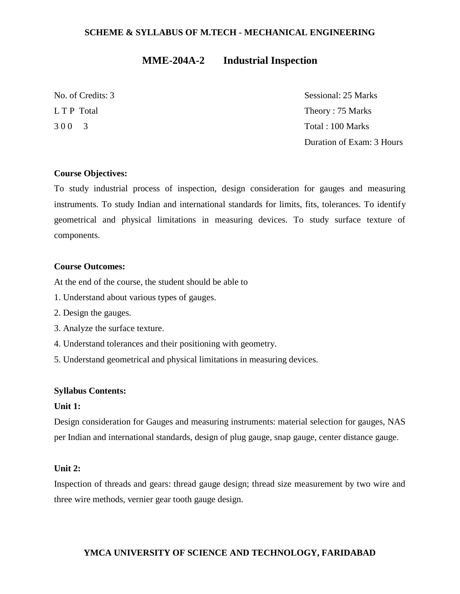# **MME-204A-2 Industrial Inspection**

| No. of Credits: 3 | Sessional: 25 Marks       |
|-------------------|---------------------------|
| L T P Total       | Theory: 75 Marks          |
| 300 3             | Total: 100 Marks          |
|                   | Duration of Exam: 3 Hours |

### **Course Objectives:**

To study industrial process of inspection, design consideration for gauges and measuring instruments. To study Indian and international standards for limits, fits, tolerances. To identify geometrical and physical limitations in measuring devices. To study surface texture of components.

#### **Course Outcomes:**

At the end of the course, the student should be able to

- 1. Understand about various types of gauges.
- 2. Design the gauges.
- 3. Analyze the surface texture.
- 4. Understand tolerances and their positioning with geometry.
- 5. Understand geometrical and physical limitations in measuring devices.

#### **Syllabus Contents:**

### **Unit 1:**

Design consideration for Gauges and measuring instruments: material selection for gauges, NAS per Indian and international standards, design of plug gauge, snap gauge, center distance gauge.

#### **Unit 2:**

Inspection of threads and gears: thread gauge design; thread size measurement by two wire and three wire methods, vernier gear tooth gauge design.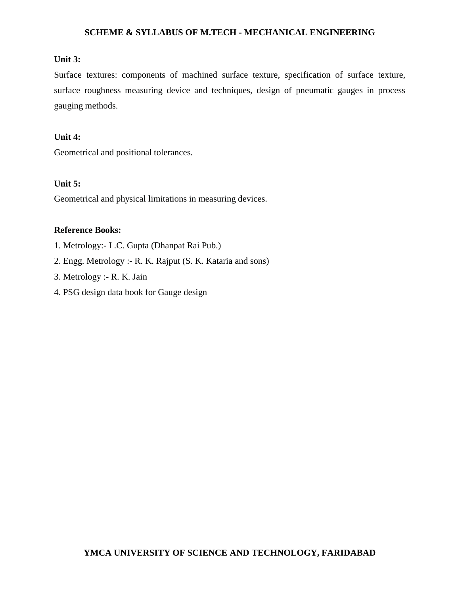### **Unit 3:**

Surface textures: components of machined surface texture, specification of surface texture, surface roughness measuring device and techniques, design of pneumatic gauges in process gauging methods.

### **Unit 4:**

Geometrical and positional tolerances.

### **Unit 5:**

Geometrical and physical limitations in measuring devices.

### **Reference Books:**

- 1. Metrology:- I .C. Gupta (Dhanpat Rai Pub.)
- 2. Engg. Metrology :- R. K. Rajput (S. K. Kataria and sons)
- 3. Metrology :- R. K. Jain
- 4. PSG design data book for Gauge design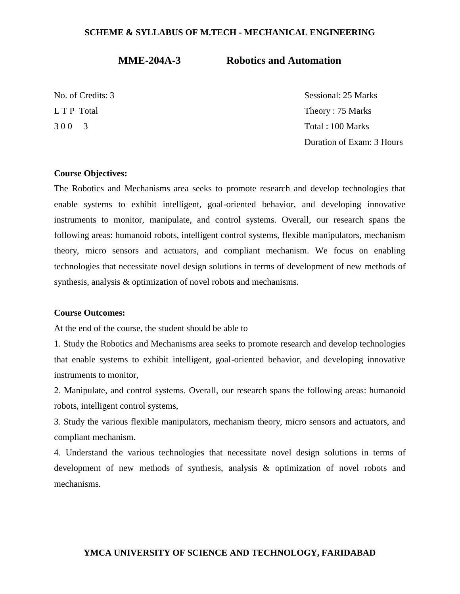**MME-204A-3 Robotics and Automation**

No. of Credits: 3 Sessional: 25 Marks L T P Total Theory : 75 Marks 3 0 0 3 Total : 100 Marks Duration of Exam: 3 Hours

#### **Course Objectives:**

The Robotics and Mechanisms area seeks to promote research and develop technologies that enable systems to exhibit intelligent, goal-oriented behavior, and developing innovative instruments to monitor, manipulate, and control systems. Overall, our research spans the following areas: humanoid robots, intelligent control systems, flexible manipulators, mechanism theory, micro sensors and actuators, and compliant mechanism. We focus on enabling technologies that necessitate novel design solutions in terms of development of new methods of synthesis, analysis & optimization of novel robots and mechanisms.

### **Course Outcomes:**

At the end of the course, the student should be able to

1. Study the Robotics and Mechanisms area seeks to promote research and develop technologies that enable systems to exhibit intelligent, goal-oriented behavior, and developing innovative instruments to monitor,

2. Manipulate, and control systems. Overall, our research spans the following areas: humanoid robots, intelligent control systems,

3. Study the various flexible manipulators, mechanism theory, micro sensors and actuators, and compliant mechanism.

4. Understand the various technologies that necessitate novel design solutions in terms of development of new methods of synthesis, analysis & optimization of novel robots and mechanisms.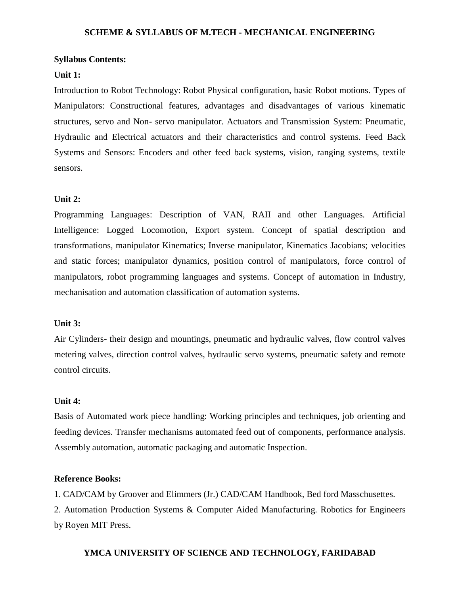#### **Syllabus Contents:**

#### **Unit 1:**

Introduction to Robot Technology: Robot Physical configuration, basic Robot motions. Types of Manipulators: Constructional features, advantages and disadvantages of various kinematic structures, servo and Non- servo manipulator. Actuators and Transmission System: Pneumatic, Hydraulic and Electrical actuators and their characteristics and control systems. Feed Back Systems and Sensors: Encoders and other feed back systems, vision, ranging systems, textile sensors.

#### **Unit 2:**

Programming Languages: Description of VAN, RAII and other Languages. Artificial Intelligence: Logged Locomotion, Export system. Concept of spatial description and transformations, manipulator Kinematics; Inverse manipulator, Kinematics Jacobians; velocities and static forces; manipulator dynamics, position control of manipulators, force control of manipulators, robot programming languages and systems. Concept of automation in Industry, mechanisation and automation classification of automation systems.

### **Unit 3:**

Air Cylinders- their design and mountings, pneumatic and hydraulic valves, flow control valves metering valves, direction control valves, hydraulic servo systems, pneumatic safety and remote control circuits.

### **Unit 4:**

Basis of Automated work piece handling: Working principles and techniques, job orienting and feeding devices. Transfer mechanisms automated feed out of components, performance analysis. Assembly automation, automatic packaging and automatic Inspection.

### **Reference Books:**

1. CAD/CAM by Groover and Elimmers (Jr.) CAD/CAM Handbook, Bed ford Masschusettes.

2. Automation Production Systems & Computer Aided Manufacturing. Robotics for Engineers by Royen MIT Press.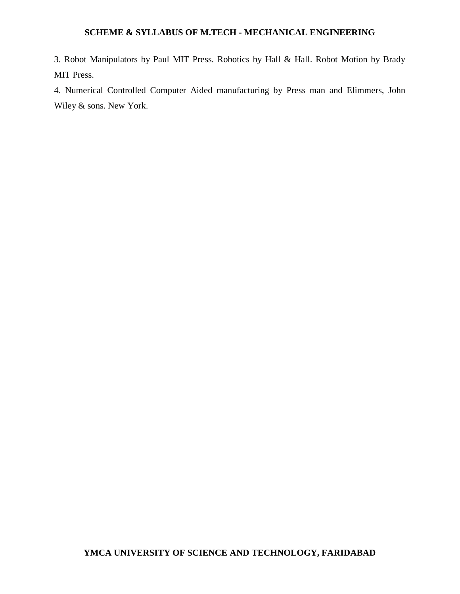3. Robot Manipulators by Paul MIT Press. Robotics by Hall & Hall. Robot Motion by Brady MIT Press.

4. Numerical Controlled Computer Aided manufacturing by Press man and Elimmers, John Wiley & sons. New York.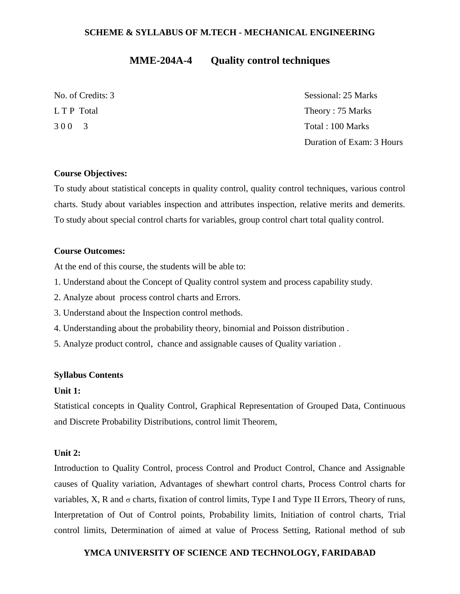# **MME-204A-4 Quality control techniques**

| No. of Credits: 3 | Sessional: 25 Marks       |
|-------------------|---------------------------|
| L T P Total       | Theory: 75 Marks          |
| 300 3             | Total: 100 Marks          |
|                   | Duration of Exam: 3 Hours |

### **Course Objectives:**

To study about statistical concepts in quality control, quality control techniques, various control charts. Study about variables inspection and attributes inspection, relative merits and demerits. To study about special control charts for variables, group control chart total quality control.

### **Course Outcomes:**

At the end of this course, the students will be able to:

- 1. Understand about the Concept of Quality control system and process capability study.
- 2. Analyze about process control charts and Errors.
- 3. Understand about the Inspection control methods.
- 4. Understanding about the probability theory, binomial and Poisson distribution .
- 5. Analyze product control, chance and assignable causes of Quality variation .

### **Syllabus Contents**

#### **Unit 1:**

Statistical concepts in Quality Control, Graphical Representation of Grouped Data, Continuous and Discrete Probability Distributions, control limit Theorem,

#### **Unit 2:**

Introduction to Quality Control, process Control and Product Control, Chance and Assignable causes of Quality variation, Advantages of shewhart control charts, Process Control charts for variables, X, R and  $\sigma$  charts, fixation of control limits, Type I and Type II Errors, Theory of runs, Interpretation of Out of Control points, Probability limits, Initiation of control charts, Trial control limits, Determination of aimed at value of Process Setting, Rational method of sub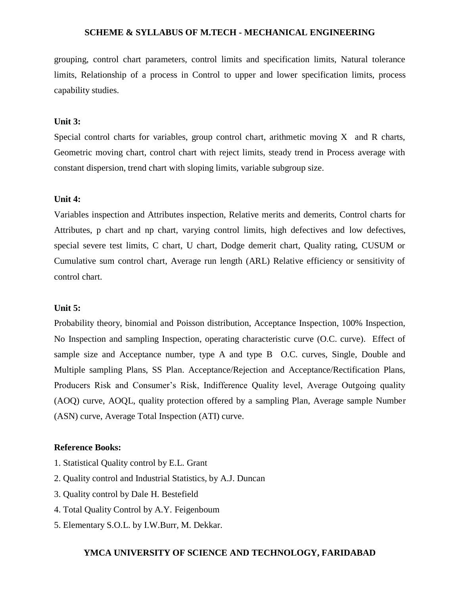grouping, control chart parameters, control limits and specification limits, Natural tolerance limits, Relationship of a process in Control to upper and lower specification limits, process capability studies.

### **Unit 3:**

Special control charts for variables, group control chart, arithmetic moving  $X$  and  $R$  charts, Geometric moving chart, control chart with reject limits, steady trend in Process average with constant dispersion, trend chart with sloping limits, variable subgroup size.

#### **Unit 4:**

Variables inspection and Attributes inspection, Relative merits and demerits, Control charts for Attributes, p chart and np chart, varying control limits, high defectives and low defectives, special severe test limits, C chart, U chart, Dodge demerit chart, Quality rating, CUSUM or Cumulative sum control chart, Average run length (ARL) Relative efficiency or sensitivity of control chart.

#### **Unit 5:**

Probability theory, binomial and Poisson distribution, Acceptance Inspection, 100% Inspection, No Inspection and sampling Inspection, operating characteristic curve (O.C. curve). Effect of sample size and Acceptance number, type A and type B O.C. curves, Single, Double and Multiple sampling Plans, SS Plan. Acceptance/Rejection and Acceptance/Rectification Plans, Producers Risk and Consumer's Risk, Indifference Quality level, Average Outgoing quality (AOQ) curve, AOQL, quality protection offered by a sampling Plan, Average sample Number (ASN) curve, Average Total Inspection (ATI) curve.

#### **Reference Books:**

- 1. Statistical Quality control by E.L. Grant
- 2. Quality control and Industrial Statistics, by A.J. Duncan
- 3. Quality control by Dale H. Bestefield
- 4. Total Quality Control by A.Y. Feigenboum
- 5. Elementary S.O.L. by I.W.Burr, M. Dekkar.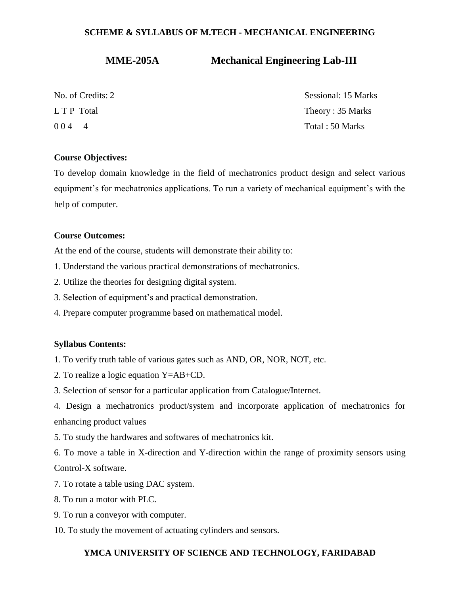# **MME-205A Mechanical Engineering Lab-III**

| No. of Credits: 2 | Sessional: 15 Marks |
|-------------------|---------------------|
| L T P Total       | Theory: 35 Marks    |
| $004 - 4$         | Total: 50 Marks     |

### **Course Objectives:**

To develop domain knowledge in the field of mechatronics product design and select various equipment's for mechatronics applications. To run a variety of mechanical equipment's with the help of computer.

### **Course Outcomes:**

At the end of the course, students will demonstrate their ability to:

- 1. Understand the various practical demonstrations of mechatronics.
- 2. Utilize the theories for designing digital system.
- 3. Selection of equipment's and practical demonstration.
- 4. Prepare computer programme based on mathematical model.

### **Syllabus Contents:**

- 1. To verify truth table of various gates such as AND, OR, NOR, NOT, etc.
- 2. To realize a logic equation Y=AB+CD.
- 3. Selection of sensor for a particular application from Catalogue/Internet.
- 4. Design a mechatronics product/system and incorporate application of mechatronics for enhancing product values
- 5. To study the hardwares and softwares of mechatronics kit.
- 6. To move a table in X-direction and Y-direction within the range of proximity sensors using Control-X software.
- 7. To rotate a table using DAC system.
- 8. To run a motor with PLC.
- 9. To run a conveyor with computer.
- 10. To study the movement of actuating cylinders and sensors.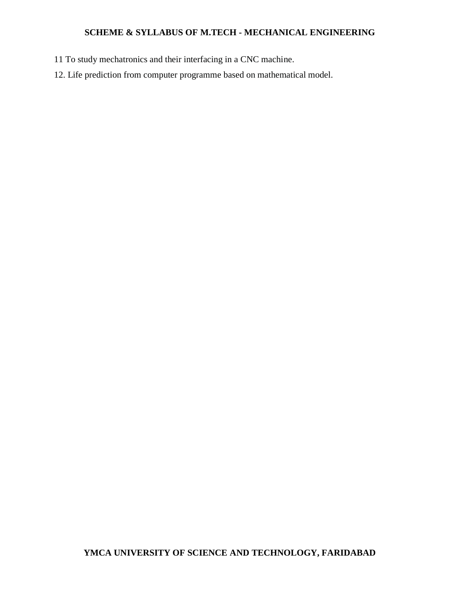- 11 To study mechatronics and their interfacing in a CNC machine.
- 12. Life prediction from computer programme based on mathematical model.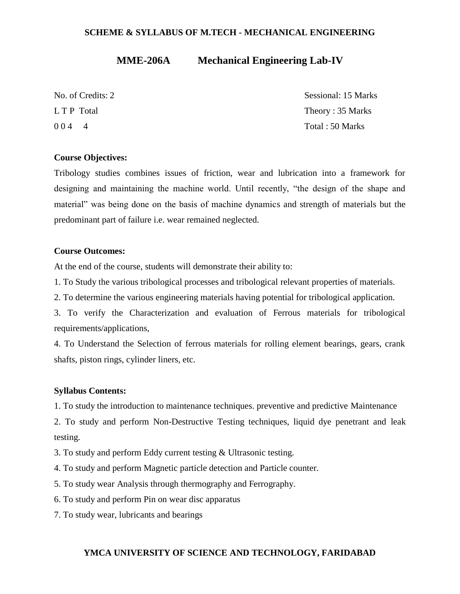# **MME-206A Mechanical Engineering Lab-IV**

| No. of Credits: 2 | Sessional: 15 Marks |
|-------------------|---------------------|
| L T P Total       | Theory: 35 Marks    |
| 0044              | Total: 50 Marks     |

### **Course Objectives:**

Tribology studies combines issues of friction, wear and lubrication into a framework for designing and maintaining the machine world. Until recently, "the design of the shape and material" was being done on the basis of machine dynamics and strength of materials but the predominant part of failure i.e. wear remained neglected.

### **Course Outcomes:**

At the end of the course, students will demonstrate their ability to:

1. To Study the various tribological processes and tribological relevant properties of materials.

2. To determine the various engineering materials having potential for tribological application.

3. To verify the Characterization and evaluation of Ferrous materials for tribological requirements/applications,

4. To Understand the Selection of ferrous materials for rolling element bearings, gears, crank shafts, piston rings, cylinder liners, etc.

### **Syllabus Contents:**

1. To study the introduction to maintenance techniques. preventive and predictive Maintenance

2. To study and perform Non-Destructive Testing techniques, liquid dye penetrant and leak testing.

3. To study and perform Eddy current testing & Ultrasonic testing.

4. To study and perform Magnetic particle detection and Particle counter.

5. To study wear Analysis through thermography and Ferrography.

6. To study and perform Pin on wear disc apparatus

7. To study wear, lubricants and bearings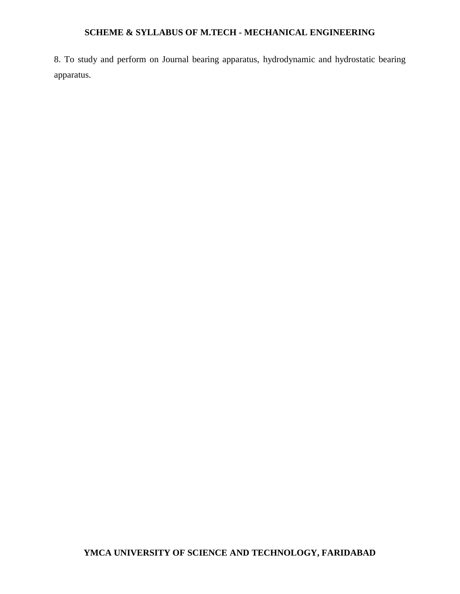8. To study and perform on Journal bearing apparatus, hydrodynamic and hydrostatic bearing apparatus.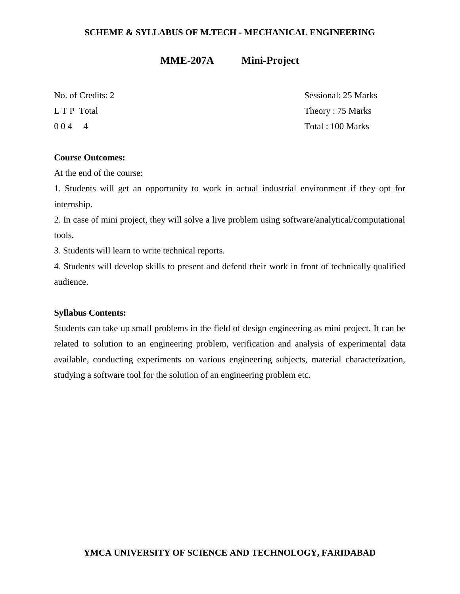# **MME-207A Mini-Project**

No. of Credits: 2 Sessional: 25 Marks L T P Total Theory : 75 Marks 0 0 4 4 Total : 100 Marks

### **Course Outcomes:**

At the end of the course:

1. Students will get an opportunity to work in actual industrial environment if they opt for internship.

2. In case of mini project, they will solve a live problem using software/analytical/computational tools.

3. Students will learn to write technical reports.

4. Students will develop skills to present and defend their work in front of technically qualified audience.

### **Syllabus Contents:**

Students can take up small problems in the field of design engineering as mini project. It can be related to solution to an engineering problem, verification and analysis of experimental data available, conducting experiments on various engineering subjects, material characterization, studying a software tool for the solution of an engineering problem etc.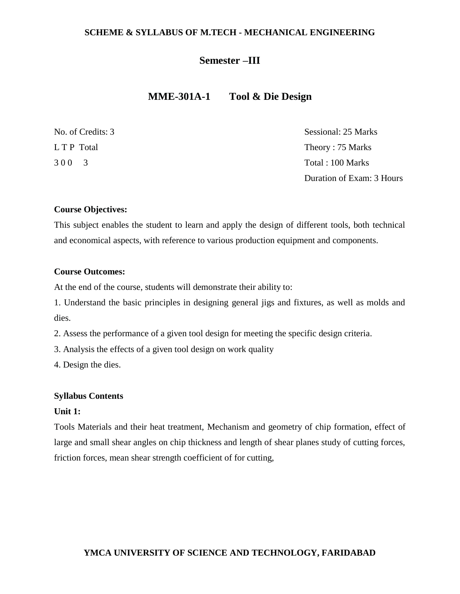### **Semester –III**

# **MME-301A-1 Tool & Die Design**

| No. of Credits: 3 | Sessional: 25 Marks       |
|-------------------|---------------------------|
| L T P Total       | Theory: 75 Marks          |
| 300 3             | Total: 100 Marks          |
|                   | Duration of Exam: 3 Hours |

### **Course Objectives:**

This subject enables the student to learn and apply the design of different tools, both technical and economical aspects, with reference to various production equipment and components.

### **Course Outcomes:**

At the end of the course, students will demonstrate their ability to:

1. Understand the basic principles in designing general jigs and fixtures, as well as molds and dies.

2. Assess the performance of a given tool design for meeting the specific design criteria.

3. Analysis the effects of a given tool design on work quality

4. Design the dies.

#### **Syllabus Contents**

### **Unit 1:**

Tools Materials and their heat treatment, Mechanism and geometry of chip formation, effect of large and small shear angles on chip thickness and length of shear planes study of cutting forces, friction forces, mean shear strength coefficient of for cutting,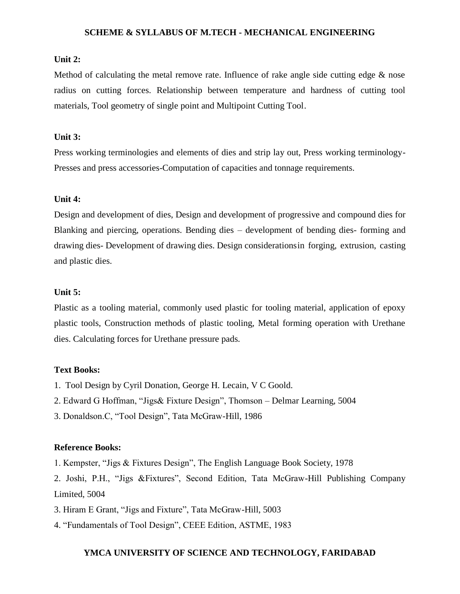### **Unit 2:**

Method of calculating the metal remove rate. Influence of rake angle side cutting edge & nose radius on cutting forces. Relationship between temperature and hardness of cutting tool materials, Tool geometry of single point and Multipoint Cutting Tool.

### **Unit 3:**

Press working terminologies and elements of dies and strip lay out, Press working terminology-Presses and press accessories-Computation of capacities and tonnage requirements.

### **Unit 4:**

Design and development of dies, Design and development of progressive and compound dies for Blanking and piercing, operations. Bending dies – development of bending dies- forming and drawing dies- Development of drawing dies. Design considerationsin forging, extrusion, casting and plastic dies.

### **Unit 5:**

Plastic as a tooling material, commonly used plastic for tooling material, application of epoxy plastic tools, Construction methods of plastic tooling, Metal forming operation with Urethane dies. Calculating forces for Urethane pressure pads.

#### **Text Books:**

- 1. Tool Design by Cyril Donation, George H. Lecain, V C Goold.
- 2. Edward G Hoffman, "Jigs& Fixture Design", Thomson Delmar Learning, 5004
- 3. Donaldson.C, "Tool Design", Tata McGraw-Hill, 1986

#### **Reference Books:**

1. Kempster, "Jigs & Fixtures Design", The English Language Book Society, 1978

2. Joshi, P.H., "Jigs &Fixtures", Second Edition, Tata McGraw-Hill Publishing Company Limited, 5004

- 3. Hiram E Grant, "Jigs and Fixture", Tata McGraw-Hill, 5003
- 4. "Fundamentals of Tool Design", CEEE Edition, ASTME, 1983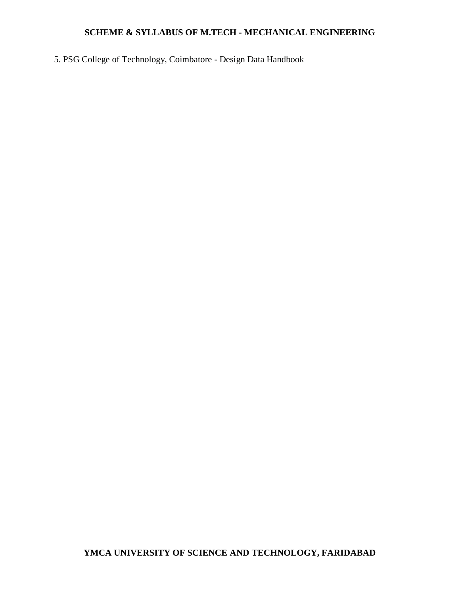5. PSG College of Technology, Coimbatore - Design Data Handbook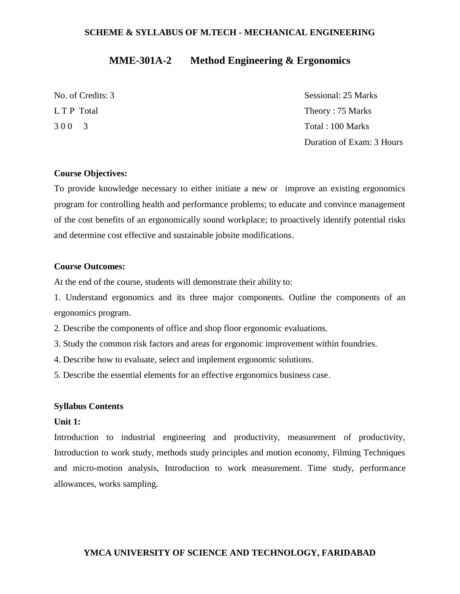# **MME-301A-2 Method Engineering & Ergonomics**

No. of Credits: 3 Sessional: 25 Marks L T P Total Theory : 75 Marks 3 0 0 3 Total : 100 Marks Duration of Exam: 3 Hours

### **Course Objectives:**

To provide knowledge necessary to either initiate a new or improve an existing ergonomics program for controlling health and performance problems; to educate and convince management of the cost benefits of an ergonomically sound workplace; to proactively identify potential risks and determine cost effective and sustainable jobsite modifications.

### **Course Outcomes:**

At the end of the course, students will demonstrate their ability to:

1. Understand ergonomics and its three major components. Outline the components of an ergonomics program.

2. Describe the components of office and shop floor ergonomic evaluations.

3. Study the common risk factors and areas for ergonomic improvement within foundries.

4. Describe how to evaluate, select and implement ergonomic solutions.

5. Describe the essential elements for an effective ergonomics business case.

#### **Syllabus Contents**

#### **Unit 1:**

Introduction to industrial engineering and productivity, measurement of productivity, Introduction to work study, methods study principles and motion economy, Filming Techniques and micro-motion analysis, Introduction to work measurement. Time study, performance allowances, works sampling.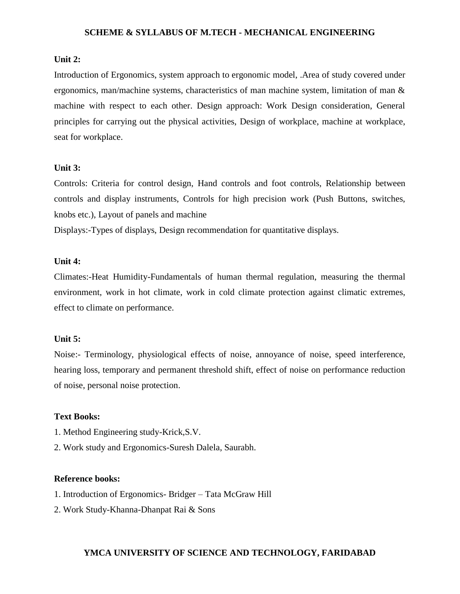### **Unit 2:**

Introduction of Ergonomics, system approach to ergonomic model, .Area of study covered under ergonomics, man/machine systems, characteristics of man machine system, limitation of man & machine with respect to each other. Design approach: Work Design consideration, General principles for carrying out the physical activities, Design of workplace, machine at workplace, seat for workplace.

#### **Unit 3:**

Controls: Criteria for control design, Hand controls and foot controls, Relationship between controls and display instruments, Controls for high precision work (Push Buttons, switches, knobs etc.), Layout of panels and machine

Displays:-Types of displays, Design recommendation for quantitative displays.

### **Unit 4:**

Climates:-Heat Humidity-Fundamentals of human thermal regulation, measuring the thermal environment, work in hot climate, work in cold climate protection against climatic extremes, effect to climate on performance.

### **Unit 5:**

Noise:- Terminology, physiological effects of noise, annoyance of noise, speed interference, hearing loss, temporary and permanent threshold shift, effect of noise on performance reduction of noise, personal noise protection.

### **Text Books:**

- 1. Method Engineering study-Krick,S.V.
- 2. Work study and Ergonomics-Suresh Dalela, Saurabh.

#### **Reference books:**

- 1. Introduction of Ergonomics- Bridger Tata McGraw Hill
- 2. Work Study-Khanna-Dhanpat Rai & Sons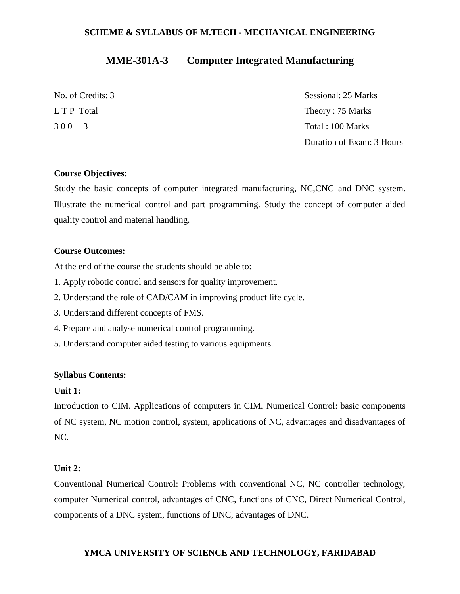# **MME-301A-3 Computer Integrated Manufacturing**

| No. of Credits: 3 | Sessional: 25 Marks       |
|-------------------|---------------------------|
| L T P Total       | Theory: 75 Marks          |
| 300 3             | Total : 100 Marks         |
|                   | Duration of Exam: 3 Hours |

### **Course Objectives:**

Study the basic concepts of computer integrated manufacturing, NC,CNC and DNC system. Illustrate the numerical control and part programming. Study the concept of computer aided quality control and material handling.

### **Course Outcomes:**

At the end of the course the students should be able to:

- 1. Apply robotic control and sensors for quality improvement.
- 2. Understand the role of CAD/CAM in improving product life cycle.
- 3. Understand different concepts of FMS.
- 4. Prepare and analyse numerical control programming.
- 5. Understand computer aided testing to various equipments.

### **Syllabus Contents:**

### **Unit 1:**

Introduction to CIM. Applications of computers in CIM. Numerical Control: basic components of NC system, NC motion control, system, applications of NC, advantages and disadvantages of NC.

### **Unit 2:**

Conventional Numerical Control: Problems with conventional NC, NC controller technology, computer Numerical control, advantages of CNC, functions of CNC, Direct Numerical Control, components of a DNC system, functions of DNC, advantages of DNC.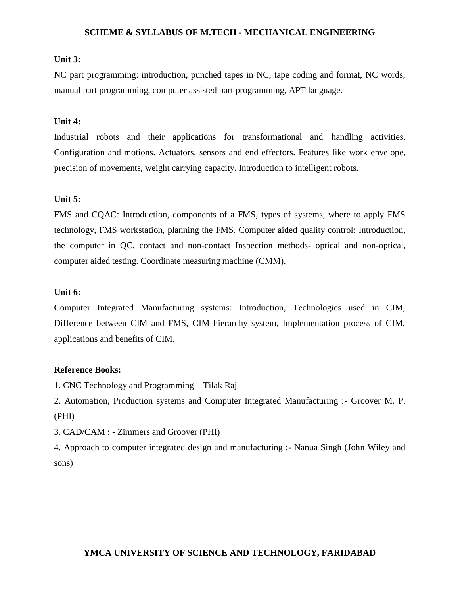### **Unit 3:**

NC part programming: introduction, punched tapes in NC, tape coding and format, NC words, manual part programming, computer assisted part programming, APT language.

### **Unit 4:**

Industrial robots and their applications for transformational and handling activities. Configuration and motions. Actuators, sensors and end effectors. Features like work envelope, precision of movements, weight carrying capacity. Introduction to intelligent robots.

### **Unit 5:**

FMS and CQAC: Introduction, components of a FMS, types of systems, where to apply FMS technology, FMS workstation, planning the FMS. Computer aided quality control: Introduction, the computer in QC, contact and non-contact Inspection methods- optical and non-optical, computer aided testing. Coordinate measuring machine (CMM).

#### **Unit 6:**

Computer Integrated Manufacturing systems: Introduction, Technologies used in CIM, Difference between CIM and FMS, CIM hierarchy system, Implementation process of CIM, applications and benefits of CIM.

#### **Reference Books:**

1. CNC Technology and Programming—Tilak Raj

2. Automation, Production systems and Computer Integrated Manufacturing :- Groover M. P. (PHI)

3. CAD/CAM : - Zimmers and Groover (PHI)

4. Approach to computer integrated design and manufacturing :- Nanua Singh (John Wiley and sons)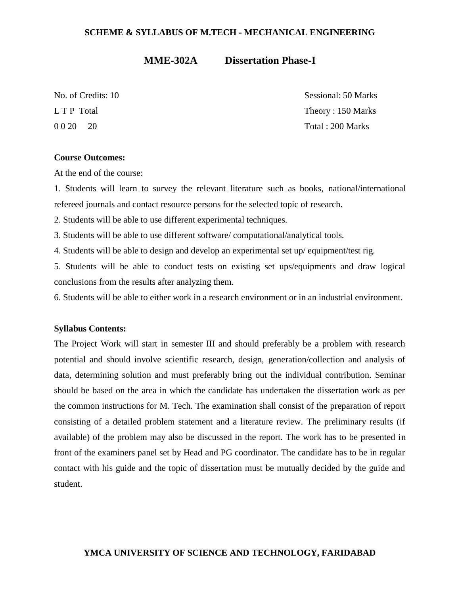### **MME-302A Dissertation Phase-I**

No. of Credits: 10 Sessional: 50 Marks L T P Total Theory : 150 Marks 0 0 20 20 Total : 200 Marks

### **Course Outcomes:**

At the end of the course:

1. Students will learn to survey the relevant literature such as books, national/international refereed journals and contact resource persons for the selected topic of research.

2. Students will be able to use different experimental techniques.

3. Students will be able to use different software/ computational/analytical tools.

4. Students will be able to design and develop an experimental set up/ equipment/test rig.

5. Students will be able to conduct tests on existing set ups/equipments and draw logical conclusions from the results after analyzing them.

6. Students will be able to either work in a research environment or in an industrial environment.

#### **Syllabus Contents:**

The Project Work will start in semester III and should preferably be a problem with research potential and should involve scientific research, design, generation/collection and analysis of data, determining solution and must preferably bring out the individual contribution. Seminar should be based on the area in which the candidate has undertaken the dissertation work as per the common instructions for M. Tech. The examination shall consist of the preparation of report consisting of a detailed problem statement and a literature review. The preliminary results (if available) of the problem may also be discussed in the report. The work has to be presented in front of the examiners panel set by Head and PG coordinator. The candidate has to be in regular contact with his guide and the topic of dissertation must be mutually decided by the guide and student.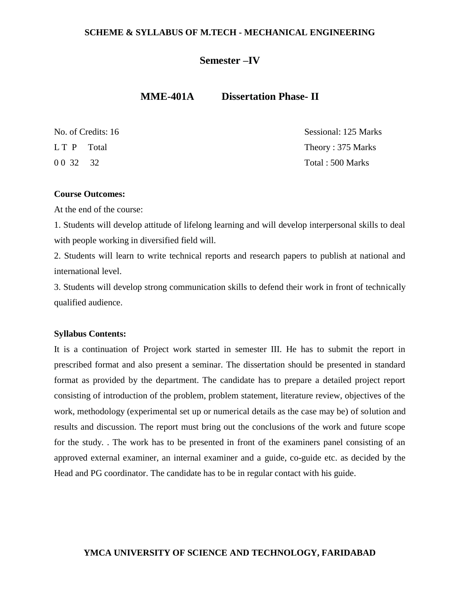## **Semester –IV**

# **MME-401A Dissertation Phase- II**

|             | No. of Credits: 16 | Sessional: 125 Marks |
|-------------|--------------------|----------------------|
| LT P Total  |                    | Theory: 375 Marks    |
| 0 0 3 2 3 2 |                    | Total: 500 Marks     |

### **Course Outcomes:**

At the end of the course:

1. Students will develop attitude of lifelong learning and will develop interpersonal skills to deal with people working in diversified field will.

2. Students will learn to write technical reports and research papers to publish at national and international level.

3. Students will develop strong communication skills to defend their work in front of technically qualified audience.

### **Syllabus Contents:**

It is a continuation of Project work started in semester III. He has to submit the report in prescribed format and also present a seminar. The dissertation should be presented in standard format as provided by the department. The candidate has to prepare a detailed project report consisting of introduction of the problem, problem statement, literature review, objectives of the work, methodology (experimental set up or numerical details as the case may be) of solution and results and discussion. The report must bring out the conclusions of the work and future scope for the study. . The work has to be presented in front of the examiners panel consisting of an approved external examiner, an internal examiner and a guide, co-guide etc. as decided by the Head and PG coordinator. The candidate has to be in regular contact with his guide.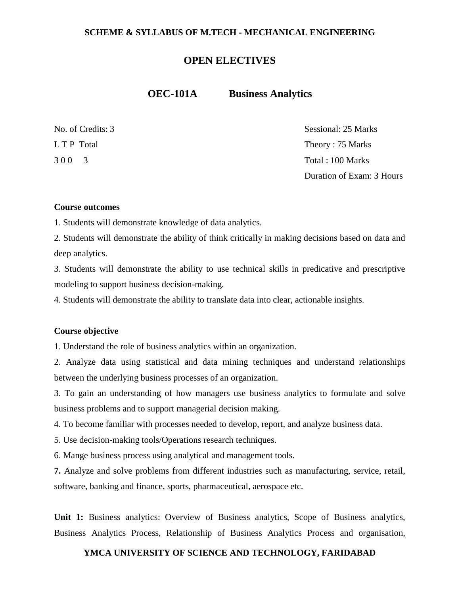## **OPEN ELECTIVES**

### **OEC-101A Business Analytics**

| No. of Credits: 3 | Sessional: 25 Marks       |
|-------------------|---------------------------|
| L T P Total       | Theory: 75 Marks          |
| 300 3             | Total: 100 Marks          |
|                   | Duration of Exam: 3 Hours |

#### **Course outcomes**

1. Students will demonstrate knowledge of data analytics.

2. Students will demonstrate the ability of think critically in making decisions based on data and deep analytics.

3. Students will demonstrate the ability to use technical skills in predicative and prescriptive modeling to support business decision-making.

4. Students will demonstrate the ability to translate data into clear, actionable insights.

### **Course objective**

1. Understand the role of business analytics within an organization.

2. Analyze data using statistical and data mining techniques and understand relationships between the underlying business processes of an organization.

3. To gain an understanding of how managers use business analytics to formulate and solve business problems and to support managerial decision making.

4. To become familiar with processes needed to develop, report, and analyze business data.

5. Use decision-making tools/Operations research techniques.

6. Mange business process using analytical and management tools.

**7.** Analyze and solve problems from different industries such as manufacturing, service, retail, software, banking and finance, sports, pharmaceutical, aerospace etc.

**Unit 1:** Business analytics: Overview of Business analytics, Scope of Business analytics, Business Analytics Process, Relationship of Business Analytics Process and organisation,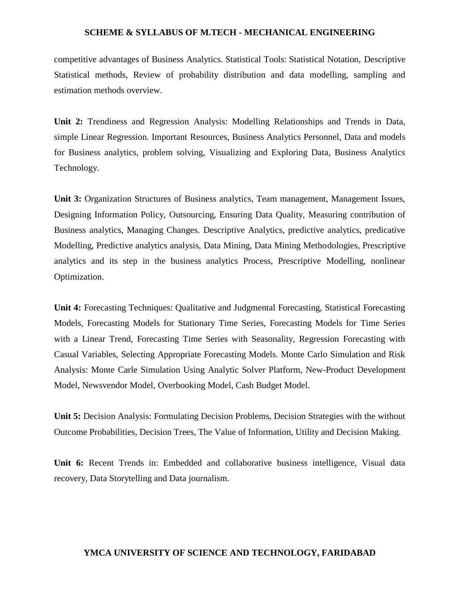competitive advantages of Business Analytics. Statistical Tools: Statistical Notation, Descriptive Statistical methods, Review of probability distribution and data modelling, sampling and estimation methods overview.

**Unit 2:** Trendiness and Regression Analysis: Modelling Relationships and Trends in Data, simple Linear Regression. Important Resources, Business Analytics Personnel, Data and models for Business analytics, problem solving, Visualizing and Exploring Data, Business Analytics Technology.

**Unit 3:** Organization Structures of Business analytics, Team management, Management Issues, Designing Information Policy, Outsourcing, Ensuring Data Quality, Measuring contribution of Business analytics, Managing Changes. Descriptive Analytics, predictive analytics, predicative Modelling, Predictive analytics analysis, Data Mining, Data Mining Methodologies, Prescriptive analytics and its step in the business analytics Process, Prescriptive Modelling, nonlinear Optimization.

**Unit 4:** Forecasting Techniques: Qualitative and Judgmental Forecasting, Statistical Forecasting Models, Forecasting Models for Stationary Time Series, Forecasting Models for Time Series with a Linear Trend, Forecasting Time Series with Seasonality, Regression Forecasting with Casual Variables, Selecting Appropriate Forecasting Models. Monte Carlo Simulation and Risk Analysis: Monte Carle Simulation Using Analytic Solver Platform, New-Product Development Model, Newsvendor Model, Overbooking Model, Cash Budget Model.

**Unit 5:** Decision Analysis: Formulating Decision Problems, Decision Strategies with the without Outcome Probabilities, Decision Trees, The Value of Information, Utility and Decision Making.

**Unit 6:** Recent Trends in: Embedded and collaborative business intelligence, Visual data recovery, Data Storytelling and Data journalism.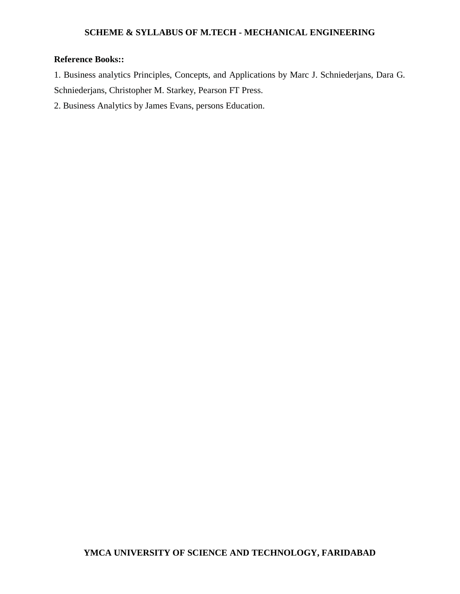## **Reference Books::**

1. Business analytics Principles, Concepts, and Applications by Marc J. Schniederjans, Dara G. Schniederjans, Christopher M. Starkey, Pearson FT Press.

2. Business Analytics by James Evans, persons Education.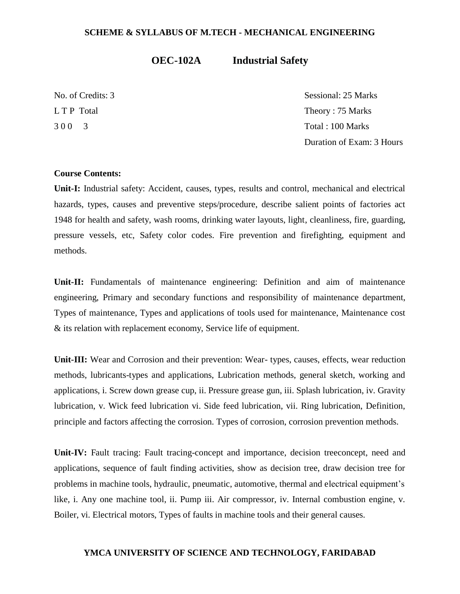# **OEC-102A Industrial Safety**

No. of Credits: 3 Sessional: 25 Marks L T P Total Theory : 75 Marks 3 0 0 3 Total : 100 Marks Duration of Exam: 3 Hours

### **Course Contents:**

**Unit-I:** Industrial safety: Accident, causes, types, results and control, mechanical and electrical hazards, types, causes and preventive steps/procedure, describe salient points of factories act 1948 for health and safety, wash rooms, drinking water layouts, light, cleanliness, fire, guarding, pressure vessels, etc, Safety color codes. Fire prevention and firefighting, equipment and methods.

**Unit-II:** Fundamentals of maintenance engineering: Definition and aim of maintenance engineering, Primary and secondary functions and responsibility of maintenance department, Types of maintenance, Types and applications of tools used for maintenance, Maintenance cost & its relation with replacement economy, Service life of equipment.

**Unit-III:** Wear and Corrosion and their prevention: Wear- types, causes, effects, wear reduction methods, lubricants-types and applications, Lubrication methods, general sketch, working and applications, i. Screw down grease cup, ii. Pressure grease gun, iii. Splash lubrication, iv. Gravity lubrication, v. Wick feed lubrication vi. Side feed lubrication, vii. Ring lubrication, Definition, principle and factors affecting the corrosion. Types of corrosion, corrosion prevention methods.

**Unit-IV:** Fault tracing: Fault tracing-concept and importance, decision treeconcept, need and applications, sequence of fault finding activities, show as decision tree, draw decision tree for problems in machine tools, hydraulic, pneumatic, automotive, thermal and electrical equipment's like, i. Any one machine tool, ii. Pump iii. Air compressor, iv. Internal combustion engine, v. Boiler, vi. Electrical motors, Types of faults in machine tools and their general causes.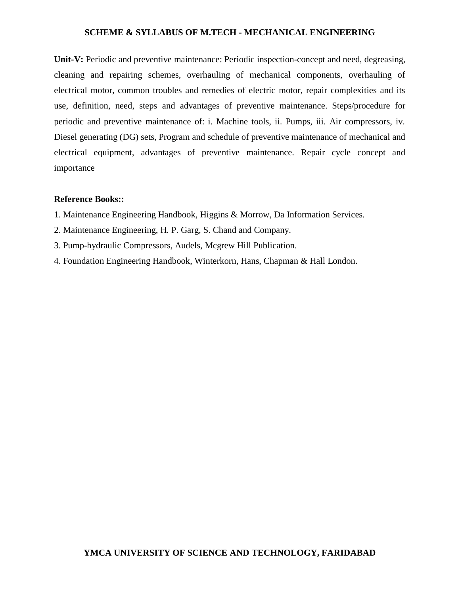Unit-V: Periodic and preventive maintenance: Periodic inspection-concept and need, degreasing, cleaning and repairing schemes, overhauling of mechanical components, overhauling of electrical motor, common troubles and remedies of electric motor, repair complexities and its use, definition, need, steps and advantages of preventive maintenance. Steps/procedure for periodic and preventive maintenance of: i. Machine tools, ii. Pumps, iii. Air compressors, iv. Diesel generating (DG) sets, Program and schedule of preventive maintenance of mechanical and electrical equipment, advantages of preventive maintenance. Repair cycle concept and importance

### **Reference Books::**

- 1. Maintenance Engineering Handbook, Higgins & Morrow, Da Information Services.
- 2. Maintenance Engineering, H. P. Garg, S. Chand and Company.
- 3. Pump-hydraulic Compressors, Audels, Mcgrew Hill Publication.
- 4. Foundation Engineering Handbook, Winterkorn, Hans, Chapman & Hall London.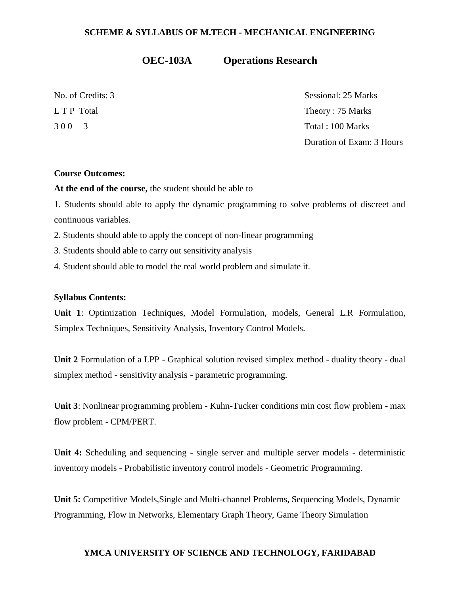# **OEC-103A Operations Research**

No. of Credits: 3 Sessional: 25 Marks L T P Total Theory : 75 Marks 3 0 0 3 Total : 100 Marks Duration of Exam: 3 Hours

### **Course Outcomes:**

**At the end of the course,** the student should be able to

1. Students should able to apply the dynamic programming to solve problems of discreet and continuous variables.

2. Students should able to apply the concept of non-linear programming

3. Students should able to carry out sensitivity analysis

4. Student should able to model the real world problem and simulate it.

### **Syllabus Contents:**

**Unit 1**: Optimization Techniques, Model Formulation, models, General L.R Formulation, Simplex Techniques, Sensitivity Analysis, Inventory Control Models.

**Unit 2** Formulation of a LPP - Graphical solution revised simplex method - duality theory - dual simplex method - sensitivity analysis - parametric programming.

**Unit 3**: Nonlinear programming problem - Kuhn-Tucker conditions min cost flow problem - max flow problem - CPM/PERT.

Unit 4: Scheduling and sequencing - single server and multiple server models - deterministic inventory models - Probabilistic inventory control models - Geometric Programming.

**Unit 5:** Competitive Models,Single and Multi-channel Problems, Sequencing Models, Dynamic Programming, Flow in Networks, Elementary Graph Theory, Game Theory Simulation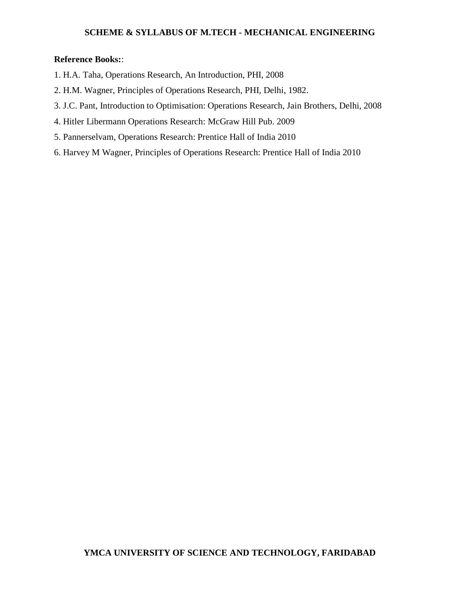### **Reference Books:**:

- 1. H.A. Taha, Operations Research, An Introduction, PHI, 2008
- 2. H.M. Wagner, Principles of Operations Research, PHI, Delhi, 1982.
- 3. J.C. Pant, Introduction to Optimisation: Operations Research, Jain Brothers, Delhi, 2008
- 4. Hitler Libermann Operations Research: McGraw Hill Pub. 2009
- 5. Pannerselvam, Operations Research: Prentice Hall of India 2010
- 6. Harvey M Wagner, Principles of Operations Research: Prentice Hall of India 2010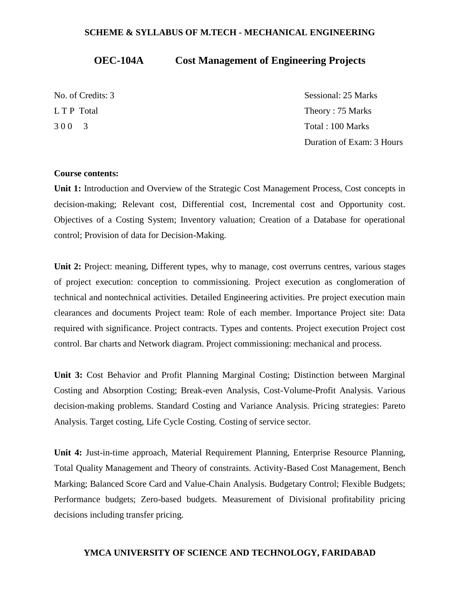# **OEC-104A Cost Management of Engineering Projects**

| No. of Credits: 3 | Sessional: 25 Marks       |
|-------------------|---------------------------|
| L T P Total       | Theory: 75 Marks          |
| 300 3             | Total: 100 Marks          |
|                   | Duration of Exam: 3 Hours |

### **Course contents:**

**Unit 1:** Introduction and Overview of the Strategic Cost Management Process, Cost concepts in decision-making; Relevant cost, Differential cost, Incremental cost and Opportunity cost. Objectives of a Costing System; Inventory valuation; Creation of a Database for operational control; Provision of data for Decision-Making.

**Unit 2:** Project: meaning, Different types, why to manage, cost overruns centres, various stages of project execution: conception to commissioning. Project execution as conglomeration of technical and nontechnical activities. Detailed Engineering activities. Pre project execution main clearances and documents Project team: Role of each member. Importance Project site: Data required with significance. Project contracts. Types and contents. Project execution Project cost control. Bar charts and Network diagram. Project commissioning: mechanical and process.

**Unit 3:** Cost Behavior and Profit Planning Marginal Costing; Distinction between Marginal Costing and Absorption Costing; Break-even Analysis, Cost-Volume-Profit Analysis. Various decision-making problems. Standard Costing and Variance Analysis. Pricing strategies: Pareto Analysis. Target costing, Life Cycle Costing. Costing of service sector.

**Unit 4:** Just-in-time approach, Material Requirement Planning, Enterprise Resource Planning, Total Quality Management and Theory of constraints. Activity-Based Cost Management, Bench Marking; Balanced Score Card and Value-Chain Analysis. Budgetary Control; Flexible Budgets; Performance budgets; Zero-based budgets. Measurement of Divisional profitability pricing decisions including transfer pricing.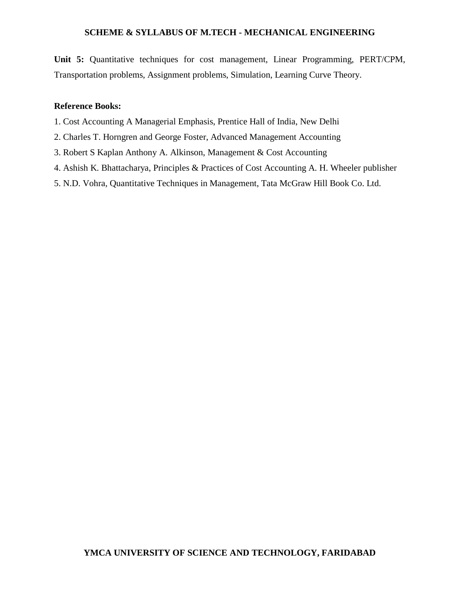**Unit 5:** Quantitative techniques for cost management, Linear Programming, PERT/CPM, Transportation problems, Assignment problems, Simulation, Learning Curve Theory.

### **Reference Books:**

- 1. Cost Accounting A Managerial Emphasis, Prentice Hall of India, New Delhi
- 2. Charles T. Horngren and George Foster, Advanced Management Accounting
- 3. Robert S Kaplan Anthony A. Alkinson, Management & Cost Accounting
- 4. Ashish K. Bhattacharya, Principles & Practices of Cost Accounting A. H. Wheeler publisher
- 5. N.D. Vohra, Quantitative Techniques in Management, Tata McGraw Hill Book Co. Ltd.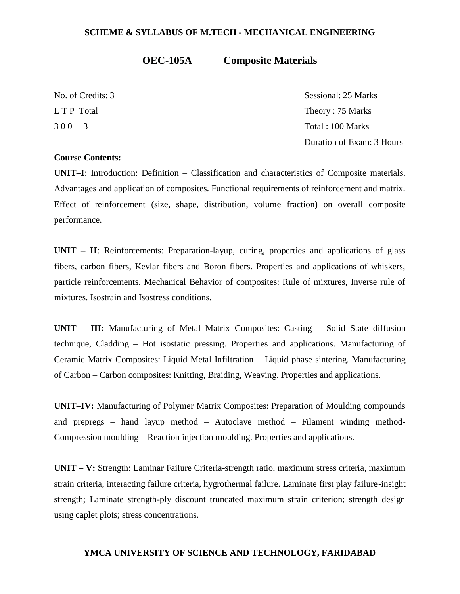# **OEC-105A Composite Materials**

No. of Credits: 3 Sessional: 25 Marks L T P Total Theory : 75 Marks 3 0 0 3 Total : 100 Marks Duration of Exam: 3 Hours

# **Course Contents:**

**UNIT–I**: Introduction: Definition – Classification and characteristics of Composite materials. Advantages and application of composites. Functional requirements of reinforcement and matrix. Effect of reinforcement (size, shape, distribution, volume fraction) on overall composite performance.

**UNIT – II**: Reinforcements: Preparation-layup, curing, properties and applications of glass fibers, carbon fibers, Kevlar fibers and Boron fibers. Properties and applications of whiskers, particle reinforcements. Mechanical Behavior of composites: Rule of mixtures, Inverse rule of mixtures. Isostrain and Isostress conditions.

**UNIT – III:** Manufacturing of Metal Matrix Composites: Casting – Solid State diffusion technique, Cladding – Hot isostatic pressing. Properties and applications. Manufacturing of Ceramic Matrix Composites: Liquid Metal Infiltration – Liquid phase sintering. Manufacturing of Carbon – Carbon composites: Knitting, Braiding, Weaving. Properties and applications.

**UNIT–IV:** Manufacturing of Polymer Matrix Composites: Preparation of Moulding compounds and prepregs – hand layup method – Autoclave method – Filament winding method-Compression moulding – Reaction injection moulding. Properties and applications.

**UNIT – V:** Strength: Laminar Failure Criteria-strength ratio, maximum stress criteria, maximum strain criteria, interacting failure criteria, hygrothermal failure. Laminate first play failure-insight strength; Laminate strength-ply discount truncated maximum strain criterion; strength design using caplet plots; stress concentrations.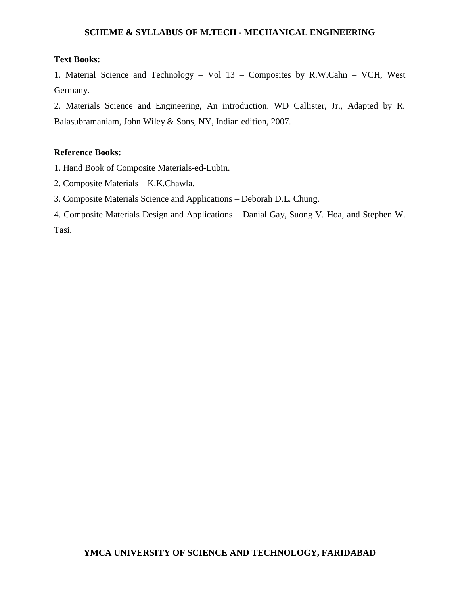# **Text Books:**

1. Material Science and Technology – Vol 13 – Composites by R.W.Cahn – VCH, West Germany.

2. Materials Science and Engineering, An introduction. WD Callister, Jr., Adapted by R. Balasubramaniam, John Wiley & Sons, NY, Indian edition, 2007.

# **Reference Books:**

1. Hand Book of Composite Materials-ed-Lubin.

- 2. Composite Materials K.K.Chawla.
- 3. Composite Materials Science and Applications Deborah D.L. Chung.
- 4. Composite Materials Design and Applications Danial Gay, Suong V. Hoa, and Stephen W. Tasi.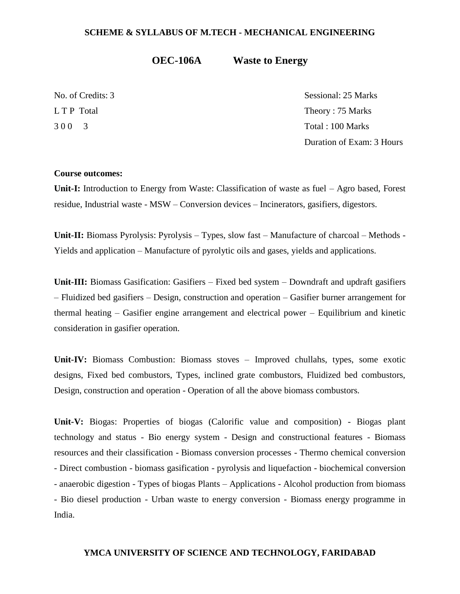**OEC-106A Waste to Energy**

No. of Credits: 3 Sessional: 25 Marks L T P Total Theory : 75 Marks 3 0 0 3 Total : 100 Marks Duration of Exam: 3 Hours

#### **Course outcomes:**

**Unit-I:** Introduction to Energy from Waste: Classification of waste as fuel – Agro based, Forest residue, Industrial waste - MSW – Conversion devices – Incinerators, gasifiers, digestors.

**Unit-II:** Biomass Pyrolysis: Pyrolysis – Types, slow fast – Manufacture of charcoal – Methods - Yields and application – Manufacture of pyrolytic oils and gases, yields and applications.

**Unit-III:** Biomass Gasification: Gasifiers – Fixed bed system – Downdraft and updraft gasifiers – Fluidized bed gasifiers – Design, construction and operation – Gasifier burner arrangement for thermal heating – Gasifier engine arrangement and electrical power – Equilibrium and kinetic consideration in gasifier operation.

**Unit-IV:** Biomass Combustion: Biomass stoves – Improved chullahs, types, some exotic designs, Fixed bed combustors, Types, inclined grate combustors, Fluidized bed combustors, Design, construction and operation - Operation of all the above biomass combustors.

**Unit-V:** Biogas: Properties of biogas (Calorific value and composition) - Biogas plant technology and status - Bio energy system - Design and constructional features - Biomass resources and their classification - Biomass conversion processes - Thermo chemical conversion - Direct combustion - biomass gasification - pyrolysis and liquefaction - biochemical conversion - anaerobic digestion - Types of biogas Plants – Applications - Alcohol production from biomass - Bio diesel production - Urban waste to energy conversion - Biomass energy programme in India.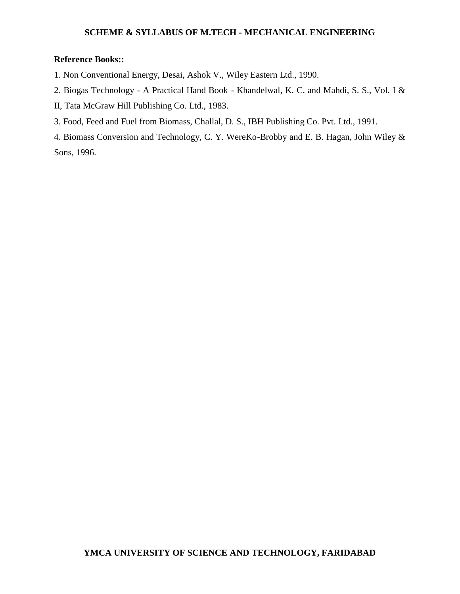# **Reference Books::**

- 1. Non Conventional Energy, Desai, Ashok V., Wiley Eastern Ltd., 1990.
- 2. Biogas Technology A Practical Hand Book Khandelwal, K. C. and Mahdi, S. S., Vol. I &
- II, Tata McGraw Hill Publishing Co. Ltd., 1983.
- 3. Food, Feed and Fuel from Biomass, Challal, D. S., IBH Publishing Co. Pvt. Ltd., 1991.

4. Biomass Conversion and Technology, C. Y. WereKo-Brobby and E. B. Hagan, John Wiley & Sons, 1996.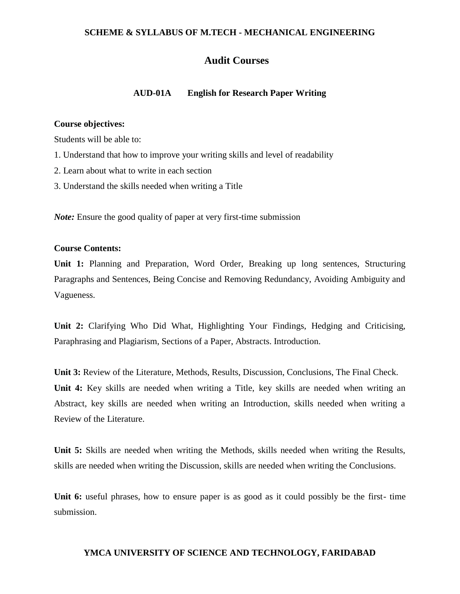# **Audit Courses**

## **AUD-01A English for Research Paper Writing**

## **Course objectives:**

Students will be able to:

- 1. Understand that how to improve your writing skills and level of readability
- 2. Learn about what to write in each section
- 3. Understand the skills needed when writing a Title

*Note*: Ensure the good quality of paper at very first-time submission

# **Course Contents:**

**Unit 1:** Planning and Preparation, Word Order, Breaking up long sentences, Structuring Paragraphs and Sentences, Being Concise and Removing Redundancy, Avoiding Ambiguity and Vagueness.

**Unit 2:** Clarifying Who Did What, Highlighting Your Findings, Hedging and Criticising, Paraphrasing and Plagiarism, Sections of a Paper, Abstracts. Introduction.

**Unit 3:** Review of the Literature, Methods, Results, Discussion, Conclusions, The Final Check. **Unit 4:** Key skills are needed when writing a Title, key skills are needed when writing an Abstract, key skills are needed when writing an Introduction, skills needed when writing a Review of the Literature.

**Unit 5:** Skills are needed when writing the Methods, skills needed when writing the Results, skills are needed when writing the Discussion, skills are needed when writing the Conclusions.

**Unit 6:** useful phrases, how to ensure paper is as good as it could possibly be the first- time submission.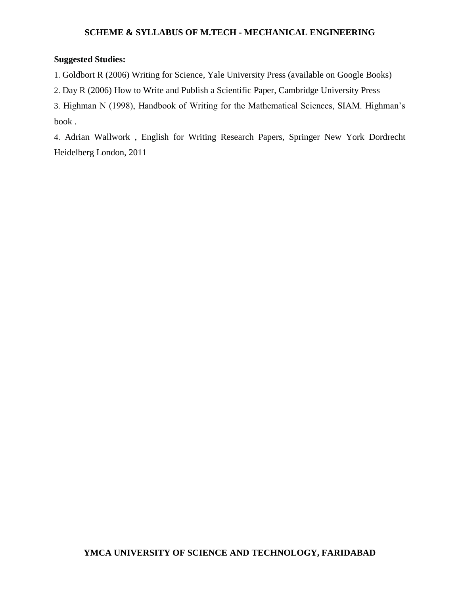# **Suggested Studies:**

1. Goldbort R (2006) Writing for Science, Yale University Press (available on Google Books)

2. Day R (2006) How to Write and Publish a Scientific Paper, Cambridge University Press

3. Highman N (1998), Handbook of Writing for the Mathematical Sciences, SIAM. Highman's book .

4. Adrian Wallwork , English for Writing Research Papers, Springer New York Dordrecht Heidelberg London, 2011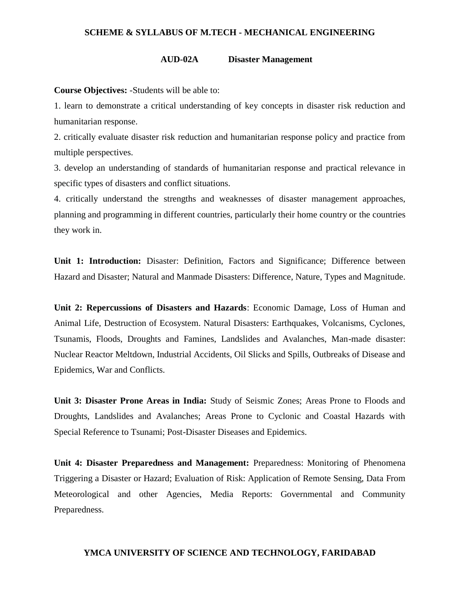#### **AUD-02A Disaster Management**

**Course Objectives:** -Students will be able to:

1. learn to demonstrate a critical understanding of key concepts in disaster risk reduction and humanitarian response.

2. critically evaluate disaster risk reduction and humanitarian response policy and practice from multiple perspectives.

3. develop an understanding of standards of humanitarian response and practical relevance in specific types of disasters and conflict situations.

4. critically understand the strengths and weaknesses of disaster management approaches, planning and programming in different countries, particularly their home country or the countries they work in.

**Unit 1: Introduction:** Disaster: Definition, Factors and Significance; Difference between Hazard and Disaster; Natural and Manmade Disasters: Difference, Nature, Types and Magnitude.

**Unit 2: Repercussions of Disasters and Hazards**: Economic Damage, Loss of Human and Animal Life, Destruction of Ecosystem. Natural Disasters: Earthquakes, Volcanisms, Cyclones, Tsunamis, Floods, Droughts and Famines, Landslides and Avalanches, Man-made disaster: Nuclear Reactor Meltdown, Industrial Accidents, Oil Slicks and Spills, Outbreaks of Disease and Epidemics, War and Conflicts.

**Unit 3: Disaster Prone Areas in India:** Study of Seismic Zones; Areas Prone to Floods and Droughts, Landslides and Avalanches; Areas Prone to Cyclonic and Coastal Hazards with Special Reference to Tsunami; Post-Disaster Diseases and Epidemics.

**Unit 4: Disaster Preparedness and Management:** Preparedness: Monitoring of Phenomena Triggering a Disaster or Hazard; Evaluation of Risk: Application of Remote Sensing, Data From Meteorological and other Agencies, Media Reports: Governmental and Community Preparedness.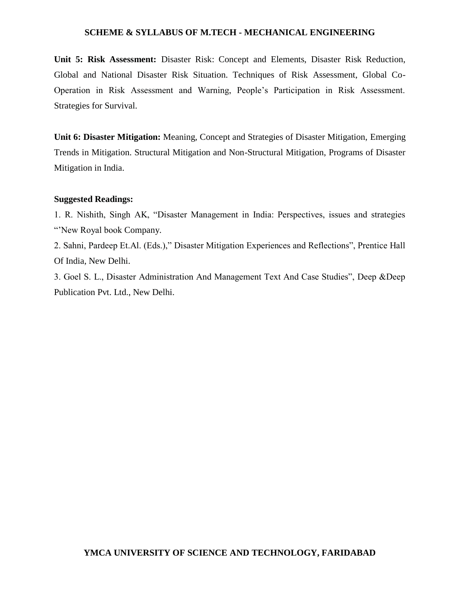**Unit 5: Risk Assessment:** Disaster Risk: Concept and Elements, Disaster Risk Reduction, Global and National Disaster Risk Situation. Techniques of Risk Assessment, Global Co-Operation in Risk Assessment and Warning, People's Participation in Risk Assessment. Strategies for Survival.

**Unit 6: Disaster Mitigation:** Meaning, Concept and Strategies of Disaster Mitigation, Emerging Trends in Mitigation. Structural Mitigation and Non-Structural Mitigation, Programs of Disaster Mitigation in India.

### **Suggested Readings:**

1. R. Nishith, Singh AK, "Disaster Management in India: Perspectives, issues and strategies "New Royal book Company.

2. Sahni, Pardeep Et.Al. (Eds.)," Disaster Mitigation Experiences and Reflections", Prentice Hall Of India, New Delhi.

3. Goel S. L., Disaster Administration And Management Text And Case Studies", Deep &Deep Publication Pvt. Ltd., New Delhi.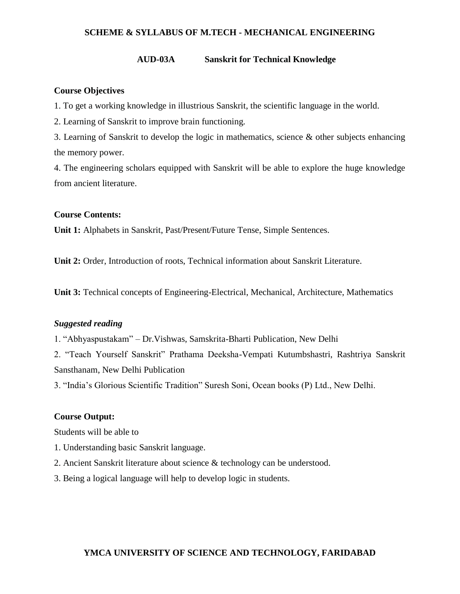#### **AUD-03A Sanskrit for Technical Knowledge**

### **Course Objectives**

1. To get a working knowledge in illustrious Sanskrit, the scientific language in the world.

2. Learning of Sanskrit to improve brain functioning.

3. Learning of Sanskrit to develop the logic in mathematics, science & other subjects enhancing the memory power.

4. The engineering scholars equipped with Sanskrit will be able to explore the huge knowledge from ancient literature.

# **Course Contents:**

**Unit 1:** Alphabets in Sanskrit, Past/Present/Future Tense, Simple Sentences.

**Unit 2:** Order, Introduction of roots, Technical information about Sanskrit Literature.

**Unit 3:** Technical concepts of Engineering-Electrical, Mechanical, Architecture, Mathematics

# *Suggested reading*

1. "Abhyaspustakam" – Dr.Vishwas, Samskrita-Bharti Publication, New Delhi

2. "Teach Yourself Sanskrit" Prathama Deeksha-Vempati Kutumbshastri, Rashtriya Sanskrit Sansthanam, New Delhi Publication

3. "India's Glorious Scientific Tradition" Suresh Soni, Ocean books (P) Ltd., New Delhi.

## **Course Output:**

Students will be able to

- 1. Understanding basic Sanskrit language.
- 2. Ancient Sanskrit literature about science & technology can be understood.
- 3. Being a logical language will help to develop logic in students.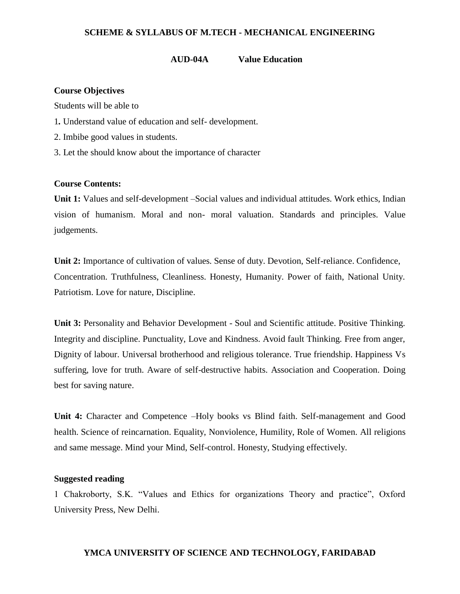#### **AUD-04A Value Education**

#### **Course Objectives**

Students will be able to

- 1*.* Understand value of education and self- development.
- 2. Imbibe good values in students.
- 3. Let the should know about the importance of character

### **Course Contents:**

**Unit 1:** Values and self-development –Social values and individual attitudes. Work ethics, Indian vision of humanism. Moral and non- moral valuation. Standards and principles. Value judgements.

**Unit 2:** Importance of cultivation of values. Sense of duty. Devotion, Self-reliance. Confidence, Concentration. Truthfulness, Cleanliness. Honesty, Humanity. Power of faith, National Unity. Patriotism. Love for nature, Discipline.

**Unit 3:** Personality and Behavior Development - Soul and Scientific attitude. Positive Thinking. Integrity and discipline. Punctuality, Love and Kindness. Avoid fault Thinking. Free from anger, Dignity of labour. Universal brotherhood and religious tolerance. True friendship. Happiness Vs suffering, love for truth. Aware of self-destructive habits. Association and Cooperation. Doing best for saving nature.

**Unit 4:** Character and Competence –Holy books vs Blind faith. Self-management and Good health. Science of reincarnation. Equality, Nonviolence, Humility, Role of Women. All religions and same message. Mind your Mind, Self-control. Honesty, Studying effectively.

### **Suggested reading**

1 Chakroborty, S.K. "Values and Ethics for organizations Theory and practice", Oxford University Press, New Delhi.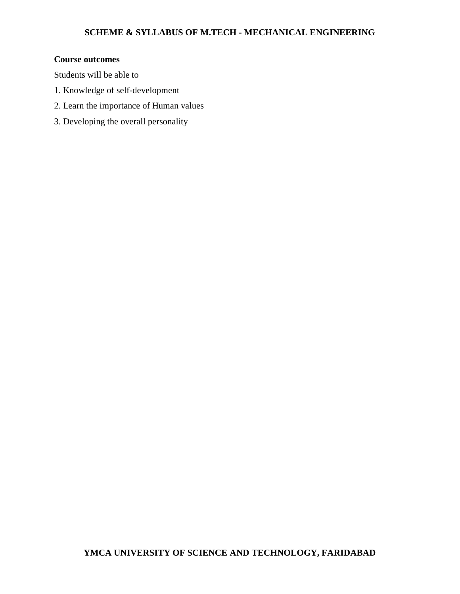# **Course outcomes**

Students will be able to

- 1. Knowledge of self-development
- 2. Learn the importance of Human values
- 3. Developing the overall personality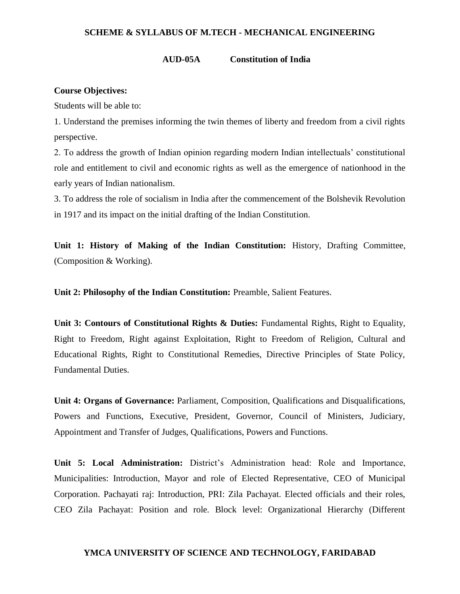#### **AUD-05A Constitution of India**

#### **Course Objectives:**

Students will be able to:

1. Understand the premises informing the twin themes of liberty and freedom from a civil rights perspective.

2. To address the growth of Indian opinion regarding modern Indian intellectuals' constitutional role and entitlement to civil and economic rights as well as the emergence of nationhood in the early years of Indian nationalism.

3. To address the role of socialism in India after the commencement of the Bolshevik Revolution in 1917 and its impact on the initial drafting of the Indian Constitution.

**Unit 1: History of Making of the Indian Constitution:** History, Drafting Committee, (Composition & Working).

**Unit 2: Philosophy of the Indian Constitution:** Preamble, Salient Features.

**Unit 3: Contours of Constitutional Rights & Duties:** Fundamental Rights, Right to Equality, Right to Freedom, Right against Exploitation, Right to Freedom of Religion, Cultural and Educational Rights, Right to Constitutional Remedies, Directive Principles of State Policy, Fundamental Duties.

**Unit 4: Organs of Governance:** Parliament, Composition, Qualifications and Disqualifications, Powers and Functions, Executive, President, Governor, Council of Ministers, Judiciary, Appointment and Transfer of Judges, Qualifications, Powers and Functions.

**Unit 5: Local Administration:** District's Administration head: Role and Importance, Municipalities: Introduction, Mayor and role of Elected Representative, CEO of Municipal Corporation. Pachayati raj: Introduction, PRI: Zila Pachayat. Elected officials and their roles, CEO Zila Pachayat: Position and role. Block level: Organizational Hierarchy (Different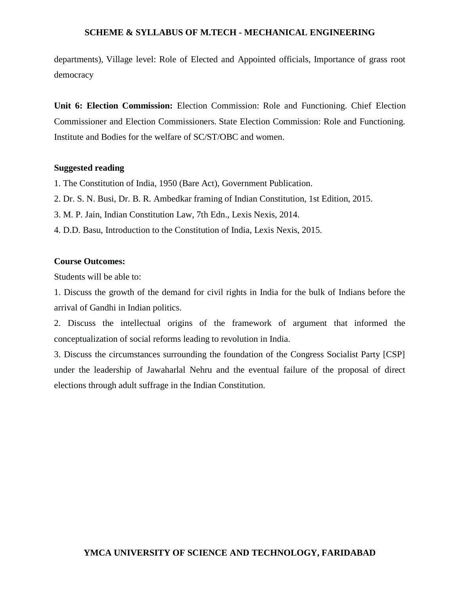departments), Village level: Role of Elected and Appointed officials, Importance of grass root democracy

**Unit 6: Election Commission:** Election Commission: Role and Functioning. Chief Election Commissioner and Election Commissioners. State Election Commission: Role and Functioning. Institute and Bodies for the welfare of SC/ST/OBC and women.

#### **Suggested reading**

- 1. The Constitution of India, 1950 (Bare Act), Government Publication.
- 2. Dr. S. N. Busi, Dr. B. R. Ambedkar framing of Indian Constitution, 1st Edition, 2015.
- 3. M. P. Jain, Indian Constitution Law, 7th Edn., Lexis Nexis, 2014.
- 4. D.D. Basu, Introduction to the Constitution of India, Lexis Nexis, 2015.

## **Course Outcomes:**

Students will be able to:

1. Discuss the growth of the demand for civil rights in India for the bulk of Indians before the arrival of Gandhi in Indian politics.

2. Discuss the intellectual origins of the framework of argument that informed the conceptualization of social reforms leading to revolution in India.

3. Discuss the circumstances surrounding the foundation of the Congress Socialist Party [CSP] under the leadership of Jawaharlal Nehru and the eventual failure of the proposal of direct elections through adult suffrage in the Indian Constitution.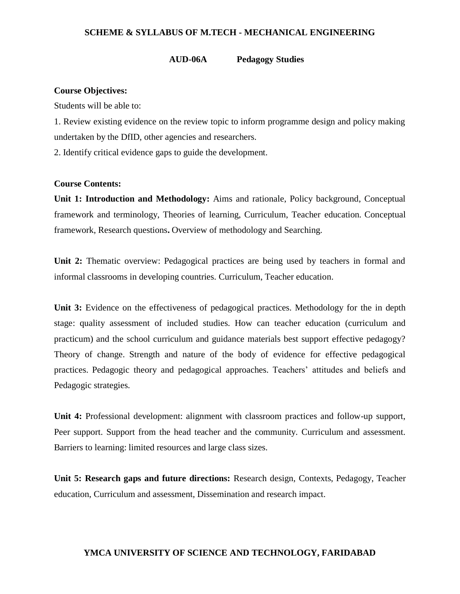#### **AUD-06A Pedagogy Studies**

#### **Course Objectives:**

Students will be able to:

1. Review existing evidence on the review topic to inform programme design and policy making undertaken by the DfID, other agencies and researchers.

2. Identify critical evidence gaps to guide the development.

#### **Course Contents:**

**Unit 1: Introduction and Methodology:** Aims and rationale, Policy background, Conceptual framework and terminology, Theories of learning, Curriculum, Teacher education. Conceptual framework, Research questions**.** Overview of methodology and Searching.

**Unit 2:** Thematic overview: Pedagogical practices are being used by teachers in formal and informal classrooms in developing countries. Curriculum, Teacher education.

Unit 3: Evidence on the effectiveness of pedagogical practices. Methodology for the in depth stage: quality assessment of included studies. How can teacher education (curriculum and practicum) and the school curriculum and guidance materials best support effective pedagogy? Theory of change. Strength and nature of the body of evidence for effective pedagogical practices. Pedagogic theory and pedagogical approaches. Teachers' attitudes and beliefs and Pedagogic strategies.

**Unit 4:** Professional development: alignment with classroom practices and follow-up support, Peer support. Support from the head teacher and the community. Curriculum and assessment. Barriers to learning: limited resources and large class sizes.

**Unit 5: Research gaps and future directions:** Research design, Contexts, Pedagogy, Teacher education, Curriculum and assessment, Dissemination and research impact.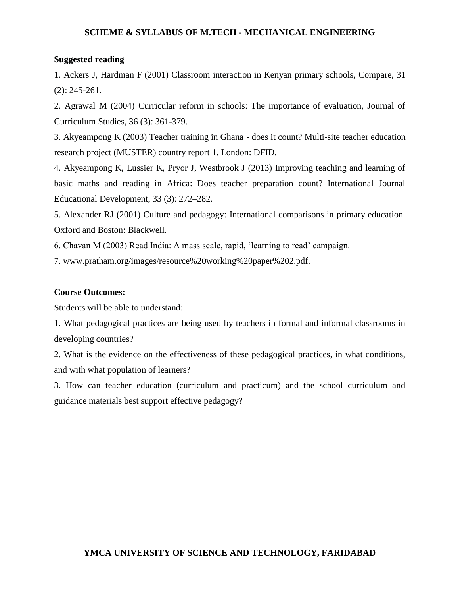## **Suggested reading**

1. Ackers J, Hardman F (2001) Classroom interaction in Kenyan primary schools, Compare, 31 (2): 245-261.

2. Agrawal M (2004) Curricular reform in schools: The importance of evaluation, Journal of Curriculum Studies, 36 (3): 361-379.

3. Akyeampong K (2003) Teacher training in Ghana - does it count? Multi-site teacher education research project (MUSTER) country report 1. London: DFID.

4. Akyeampong K, Lussier K, Pryor J, Westbrook J (2013) Improving teaching and learning of basic maths and reading in Africa: Does teacher preparation count? International Journal Educational Development, 33 (3): 272–282.

5. Alexander RJ (2001) Culture and pedagogy: International comparisons in primary education. Oxford and Boston: Blackwell.

6. Chavan M (2003) Read India: A mass scale, rapid, 'learning to read' campaign.

7. www.pratham.org/images/resource%20working%20paper%202.pdf.

## **Course Outcomes:**

Students will be able to understand:

1. What pedagogical practices are being used by teachers in formal and informal classrooms in developing countries?

2. What is the evidence on the effectiveness of these pedagogical practices, in what conditions, and with what population of learners?

3. How can teacher education (curriculum and practicum) and the school curriculum and guidance materials best support effective pedagogy?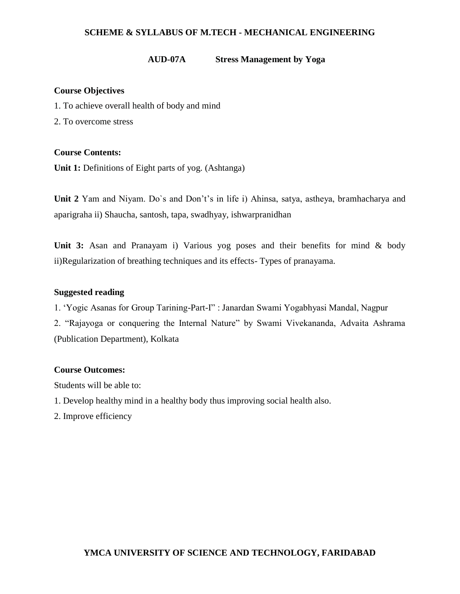## **AUD-07A Stress Management by Yoga**

## **Course Objectives**

- 1. To achieve overall health of body and mind
- 2. To overcome stress

# **Course Contents:**

**Unit 1:** Definitions of Eight parts of yog. (Ashtanga)

**Unit 2** Yam and Niyam. Do`s and Don't's in life i) Ahinsa, satya, astheya, bramhacharya and aparigraha ii) Shaucha, santosh, tapa, swadhyay, ishwarpranidhan

**Unit 3:** Asan and Pranayam i) Various yog poses and their benefits for mind & body ii)Regularization of breathing techniques and its effects- Types of pranayama.

## **Suggested reading**

1. 'Yogic Asanas for Group Tarining-Part-I" : Janardan Swami Yogabhyasi Mandal, Nagpur

2. "Rajayoga or conquering the Internal Nature" by Swami Vivekananda, Advaita Ashrama (Publication Department), Kolkata

## **Course Outcomes:**

Students will be able to:

- 1. Develop healthy mind in a healthy body thus improving social health also.
- 2. Improve efficiency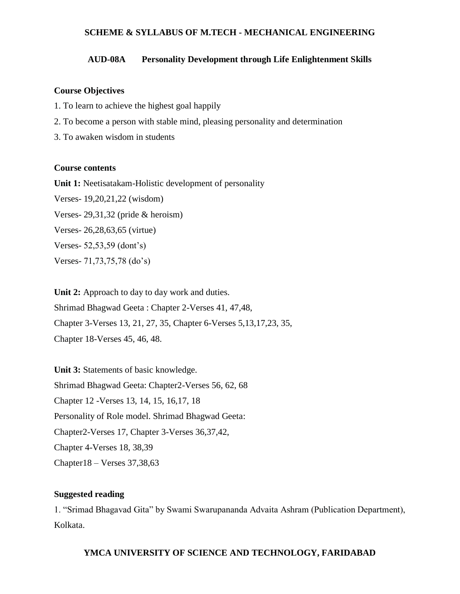## **AUD-08A Personality Development through Life Enlightenment Skills**

### **Course Objectives**

- 1. To learn to achieve the highest goal happily
- 2. To become a person with stable mind, pleasing personality and determination
- 3. To awaken wisdom in students

### **Course contents**

**Unit 1:** Neetisatakam-Holistic development of personality Verses- 19,20,21,22 (wisdom) Verses- 29,31,32 (pride & heroism) Verses- 26,28,63,65 (virtue) Verses- 52,53,59 (dont's) Verses- 71,73,75,78 (do's)

**Unit 2:** Approach to day to day work and duties. Shrimad Bhagwad Geeta : Chapter 2-Verses 41, 47,48, Chapter 3-Verses 13, 21, 27, 35, Chapter 6-Verses 5,13,17,23, 35, Chapter 18-Verses 45, 46, 48.

**Unit 3:** Statements of basic knowledge. Shrimad Bhagwad Geeta: Chapter2-Verses 56, 62, 68 Chapter 12 -Verses 13, 14, 15, 16,17, 18 Personality of Role model. Shrimad Bhagwad Geeta: Chapter2-Verses 17, Chapter 3-Verses 36,37,42, Chapter 4-Verses 18, 38,39 Chapter18 – Verses 37,38,63

# **Suggested reading**

1. "Srimad Bhagavad Gita" by Swami Swarupananda Advaita Ashram (Publication Department), Kolkata.